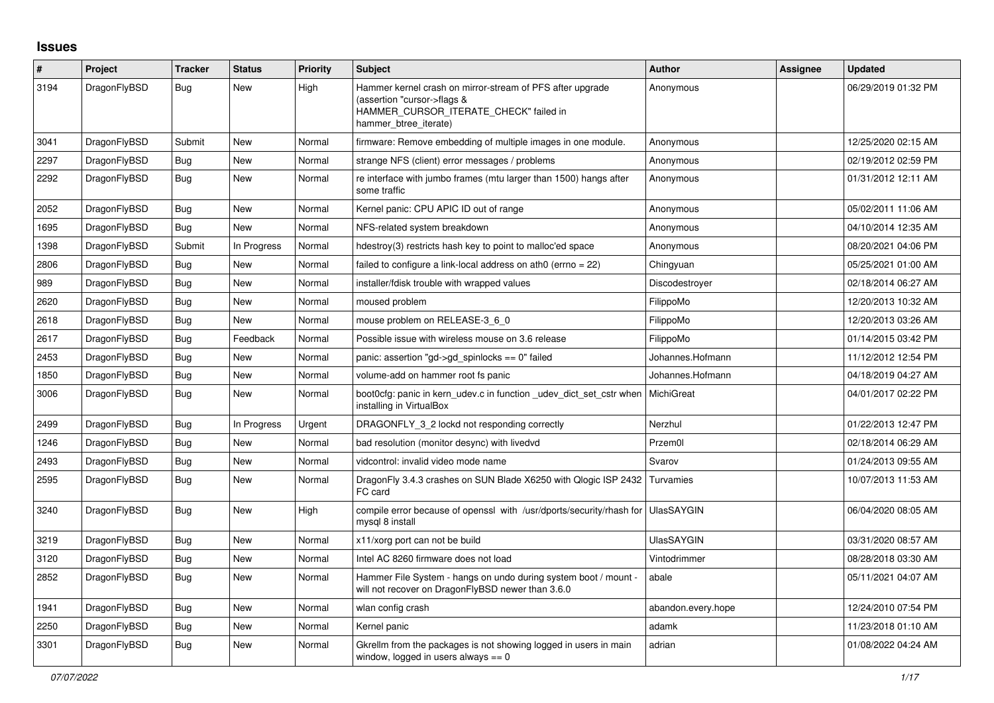## **Issues**

| #    | Project      | <b>Tracker</b> | <b>Status</b> | <b>Priority</b> | <b>Subject</b>                                                                                                                                              | <b>Author</b>      | Assignee | <b>Updated</b>      |
|------|--------------|----------------|---------------|-----------------|-------------------------------------------------------------------------------------------------------------------------------------------------------------|--------------------|----------|---------------------|
| 3194 | DragonFlyBSD | <b>Bug</b>     | New           | High            | Hammer kernel crash on mirror-stream of PFS after upgrade<br>(assertion "cursor->flags &<br>HAMMER_CURSOR_ITERATE_CHECK" failed in<br>hammer btree iterate) | Anonymous          |          | 06/29/2019 01:32 PM |
| 3041 | DragonFlyBSD | Submit         | New           | Normal          | firmware: Remove embedding of multiple images in one module.                                                                                                | Anonymous          |          | 12/25/2020 02:15 AM |
| 2297 | DragonFlyBSD | <b>Bug</b>     | <b>New</b>    | Normal          | strange NFS (client) error messages / problems                                                                                                              | Anonymous          |          | 02/19/2012 02:59 PM |
| 2292 | DragonFlyBSD | <b>Bug</b>     | New           | Normal          | re interface with jumbo frames (mtu larger than 1500) hangs after<br>some traffic                                                                           | Anonymous          |          | 01/31/2012 12:11 AM |
| 2052 | DragonFlyBSD | Bug            | New           | Normal          | Kernel panic: CPU APIC ID out of range                                                                                                                      | Anonymous          |          | 05/02/2011 11:06 AM |
| 1695 | DragonFlyBSD | Bug            | New           | Normal          | NFS-related system breakdown                                                                                                                                | Anonymous          |          | 04/10/2014 12:35 AM |
| 1398 | DragonFlyBSD | Submit         | In Progress   | Normal          | hdestroy(3) restricts hash key to point to malloc'ed space                                                                                                  | Anonymous          |          | 08/20/2021 04:06 PM |
| 2806 | DragonFlyBSD | <b>Bug</b>     | <b>New</b>    | Normal          | failed to configure a link-local address on ath0 (errno = 22)                                                                                               | Chingyuan          |          | 05/25/2021 01:00 AM |
| 989  | DragonFlyBSD | <b>Bug</b>     | New           | Normal          | installer/fdisk trouble with wrapped values                                                                                                                 | Discodestroyer     |          | 02/18/2014 06:27 AM |
| 2620 | DragonFlyBSD | Bug            | New           | Normal          | moused problem                                                                                                                                              | FilippoMo          |          | 12/20/2013 10:32 AM |
| 2618 | DragonFlyBSD | <b>Bug</b>     | New           | Normal          | mouse problem on RELEASE-3 6 0                                                                                                                              | FilippoMo          |          | 12/20/2013 03:26 AM |
| 2617 | DragonFlyBSD | Bug            | Feedback      | Normal          | Possible issue with wireless mouse on 3.6 release                                                                                                           | FilippoMo          |          | 01/14/2015 03:42 PM |
| 2453 | DragonFlyBSD | <b>Bug</b>     | New           | Normal          | panic: assertion "gd->gd spinlocks == $0$ " failed                                                                                                          | Johannes.Hofmann   |          | 11/12/2012 12:54 PM |
| 1850 | DragonFlyBSD | Bug            | New           | Normal          | volume-add on hammer root fs panic                                                                                                                          | Johannes.Hofmann   |          | 04/18/2019 04:27 AM |
| 3006 | DragonFlyBSD | <b>Bug</b>     | <b>New</b>    | Normal          | boot0cfg: panic in kern_udev.c in function _udev_dict_set_cstr when<br>installing in VirtualBox                                                             | MichiGreat         |          | 04/01/2017 02:22 PM |
| 2499 | DragonFlyBSD | Bug            | In Progress   | Urgent          | DRAGONFLY 3 2 lockd not responding correctly                                                                                                                | Nerzhul            |          | 01/22/2013 12:47 PM |
| 1246 | DragonFlyBSD | <b>Bug</b>     | New           | Normal          | bad resolution (monitor desync) with livedvd                                                                                                                | Przem0l            |          | 02/18/2014 06:29 AM |
| 2493 | DragonFlyBSD | Bug            | <b>New</b>    | Normal          | vidcontrol: invalid video mode name                                                                                                                         | Svarov             |          | 01/24/2013 09:55 AM |
| 2595 | DragonFlyBSD | Bug            | New           | Normal          | DragonFly 3.4.3 crashes on SUN Blade X6250 with Qlogic ISP 2432 Turvamies<br>FC card                                                                        |                    |          | 10/07/2013 11:53 AM |
| 3240 | DragonFlyBSD | <b>Bug</b>     | New           | High            | compile error because of openssl with /usr/dports/security/rhash for UlasSAYGIN<br>mysql 8 install                                                          |                    |          | 06/04/2020 08:05 AM |
| 3219 | DragonFlyBSD | Bug            | New           | Normal          | x11/xorg port can not be build                                                                                                                              | <b>UlasSAYGIN</b>  |          | 03/31/2020 08:57 AM |
| 3120 | DragonFlyBSD | <b>Bug</b>     | New           | Normal          | Intel AC 8260 firmware does not load                                                                                                                        | Vintodrimmer       |          | 08/28/2018 03:30 AM |
| 2852 | DragonFlyBSD | Bug            | <b>New</b>    | Normal          | Hammer File System - hangs on undo during system boot / mount -<br>will not recover on DragonFlyBSD newer than 3.6.0                                        | abale              |          | 05/11/2021 04:07 AM |
| 1941 | DragonFlyBSD | Bug            | New           | Normal          | wlan config crash                                                                                                                                           | abandon.every.hope |          | 12/24/2010 07:54 PM |
| 2250 | DragonFlyBSD | Bug            | New           | Normal          | Kernel panic                                                                                                                                                | adamk              |          | 11/23/2018 01:10 AM |
| 3301 | DragonFlyBSD | Bug            | New           | Normal          | Gkrellm from the packages is not showing logged in users in main<br>window, logged in users always $== 0$                                                   | adrian             |          | 01/08/2022 04:24 AM |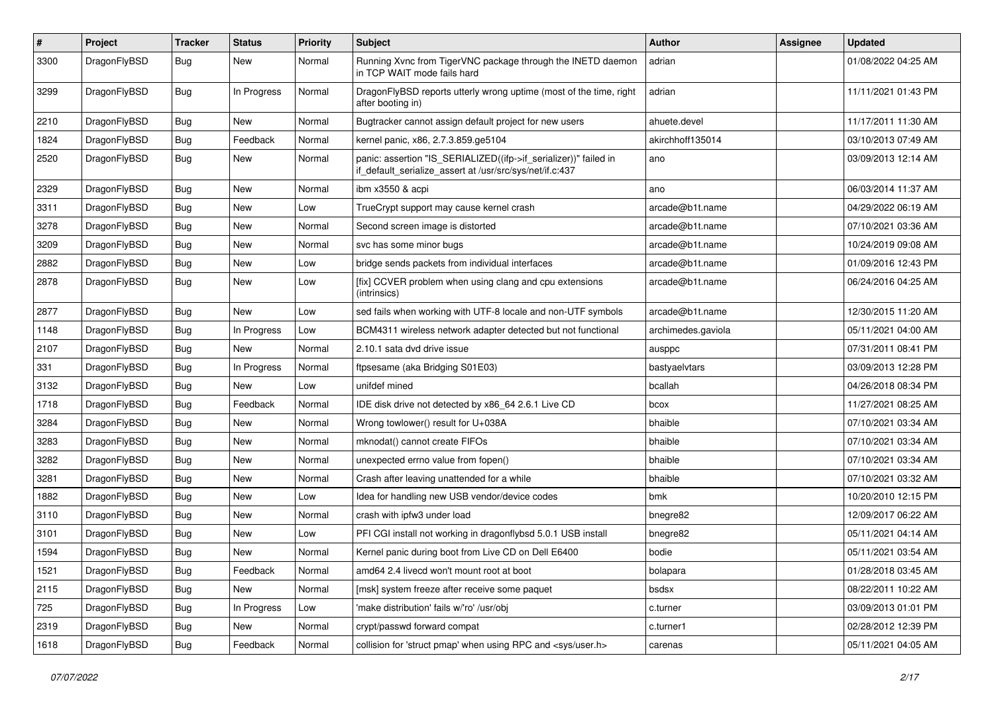| $\vert$ # | Project      | <b>Tracker</b> | <b>Status</b> | <b>Priority</b> | Subject                                                                                                                      | Author             | <b>Assignee</b> | <b>Updated</b>      |
|-----------|--------------|----------------|---------------|-----------------|------------------------------------------------------------------------------------------------------------------------------|--------------------|-----------------|---------------------|
| 3300      | DragonFlyBSD | Bug            | New           | Normal          | Running Xvnc from TigerVNC package through the INETD daemon<br>in TCP WAIT mode fails hard                                   | adrian             |                 | 01/08/2022 04:25 AM |
| 3299      | DragonFlyBSD | Bug            | In Progress   | Normal          | DragonFlyBSD reports utterly wrong uptime (most of the time, right<br>after booting in)                                      | adrian             |                 | 11/11/2021 01:43 PM |
| 2210      | DragonFlyBSD | <b>Bug</b>     | New           | Normal          | Bugtracker cannot assign default project for new users                                                                       | ahuete.devel       |                 | 11/17/2011 11:30 AM |
| 1824      | DragonFlyBSD | <b>Bug</b>     | Feedback      | Normal          | kernel panic, x86, 2.7.3.859.ge5104                                                                                          | akirchhoff135014   |                 | 03/10/2013 07:49 AM |
| 2520      | DragonFlyBSD | Bug            | New           | Normal          | panic: assertion "IS_SERIALIZED((ifp->if_serializer))" failed in<br>if_default_serialize_assert at /usr/src/sys/net/if.c:437 | ano                |                 | 03/09/2013 12:14 AM |
| 2329      | DragonFlyBSD | Bug            | New           | Normal          | ibm x3550 & acpi                                                                                                             | ano                |                 | 06/03/2014 11:37 AM |
| 3311      | DragonFlyBSD | Bug            | <b>New</b>    | Low             | TrueCrypt support may cause kernel crash                                                                                     | arcade@b1t.name    |                 | 04/29/2022 06:19 AM |
| 3278      | DragonFlyBSD | <b>Bug</b>     | New           | Normal          | Second screen image is distorted                                                                                             | arcade@b1t.name    |                 | 07/10/2021 03:36 AM |
| 3209      | DragonFlyBSD | Bug            | New           | Normal          | svc has some minor bugs                                                                                                      | arcade@b1t.name    |                 | 10/24/2019 09:08 AM |
| 2882      | DragonFlyBSD | <b>Bug</b>     | <b>New</b>    | Low             | bridge sends packets from individual interfaces                                                                              | arcade@b1t.name    |                 | 01/09/2016 12:43 PM |
| 2878      | DragonFlyBSD | <b>Bug</b>     | New           | Low             | [fix] CCVER problem when using clang and cpu extensions<br>(intrinsics)                                                      | arcade@b1t.name    |                 | 06/24/2016 04:25 AM |
| 2877      | DragonFlyBSD | <b>Bug</b>     | New           | Low             | sed fails when working with UTF-8 locale and non-UTF symbols                                                                 | arcade@b1t.name    |                 | 12/30/2015 11:20 AM |
| 1148      | DragonFlyBSD | <b>Bug</b>     | In Progress   | Low             | BCM4311 wireless network adapter detected but not functional                                                                 | archimedes.gaviola |                 | 05/11/2021 04:00 AM |
| 2107      | DragonFlyBSD | Bug            | New           | Normal          | 2.10.1 sata dvd drive issue                                                                                                  | ausppc             |                 | 07/31/2011 08:41 PM |
| 331       | DragonFlyBSD | <b>Bug</b>     | In Progress   | Normal          | ftpsesame (aka Bridging S01E03)                                                                                              | bastyaelvtars      |                 | 03/09/2013 12:28 PM |
| 3132      | DragonFlyBSD | <b>Bug</b>     | New           | Low             | unifdef mined                                                                                                                | bcallah            |                 | 04/26/2018 08:34 PM |
| 1718      | DragonFlyBSD | Bug            | Feedback      | Normal          | IDE disk drive not detected by x86 64 2.6.1 Live CD                                                                          | bcox               |                 | 11/27/2021 08:25 AM |
| 3284      | DragonFlyBSD | <b>Bug</b>     | New           | Normal          | Wrong towlower() result for U+038A                                                                                           | bhaible            |                 | 07/10/2021 03:34 AM |
| 3283      | DragonFlyBSD | Bug            | <b>New</b>    | Normal          | mknodat() cannot create FIFOs                                                                                                | bhaible            |                 | 07/10/2021 03:34 AM |
| 3282      | DragonFlyBSD | <b>Bug</b>     | New           | Normal          | unexpected errno value from fopen()                                                                                          | bhaible            |                 | 07/10/2021 03:34 AM |
| 3281      | DragonFlyBSD | Bug            | New           | Normal          | Crash after leaving unattended for a while                                                                                   | bhaible            |                 | 07/10/2021 03:32 AM |
| 1882      | DragonFlyBSD | Bug            | <b>New</b>    | Low             | Idea for handling new USB vendor/device codes                                                                                | bmk                |                 | 10/20/2010 12:15 PM |
| 3110      | DragonFlyBSD | <b>Bug</b>     | New           | Normal          | crash with ipfw3 under load                                                                                                  | bnegre82           |                 | 12/09/2017 06:22 AM |
| 3101      | DragonFlyBSD | Bug            | New           | Low             | PFI CGI install not working in dragonflybsd 5.0.1 USB install                                                                | bnegre82           |                 | 05/11/2021 04:14 AM |
| 1594      | DragonFlyBSD | <b>Bug</b>     | New           | Normal          | Kernel panic during boot from Live CD on Dell E6400                                                                          | bodie              |                 | 05/11/2021 03:54 AM |
| 1521      | DragonFlyBSD | <b>Bug</b>     | Feedback      | Normal          | amd64 2.4 livecd won't mount root at boot                                                                                    | bolapara           |                 | 01/28/2018 03:45 AM |
| 2115      | DragonFlyBSD | <b>Bug</b>     | New           | Normal          | [msk] system freeze after receive some paquet                                                                                | bsdsx              |                 | 08/22/2011 10:22 AM |
| 725       | DragonFlyBSD | <b>Bug</b>     | In Progress   | Low             | 'make distribution' fails w/'ro' /usr/obj                                                                                    | c.turner           |                 | 03/09/2013 01:01 PM |
| 2319      | DragonFlyBSD | <b>Bug</b>     | New           | Normal          | crypt/passwd forward compat                                                                                                  | c.turner1          |                 | 02/28/2012 12:39 PM |
| 1618      | DragonFlyBSD | <b>Bug</b>     | Feedback      | Normal          | collision for 'struct pmap' when using RPC and <sys user.h=""></sys>                                                         | carenas            |                 | 05/11/2021 04:05 AM |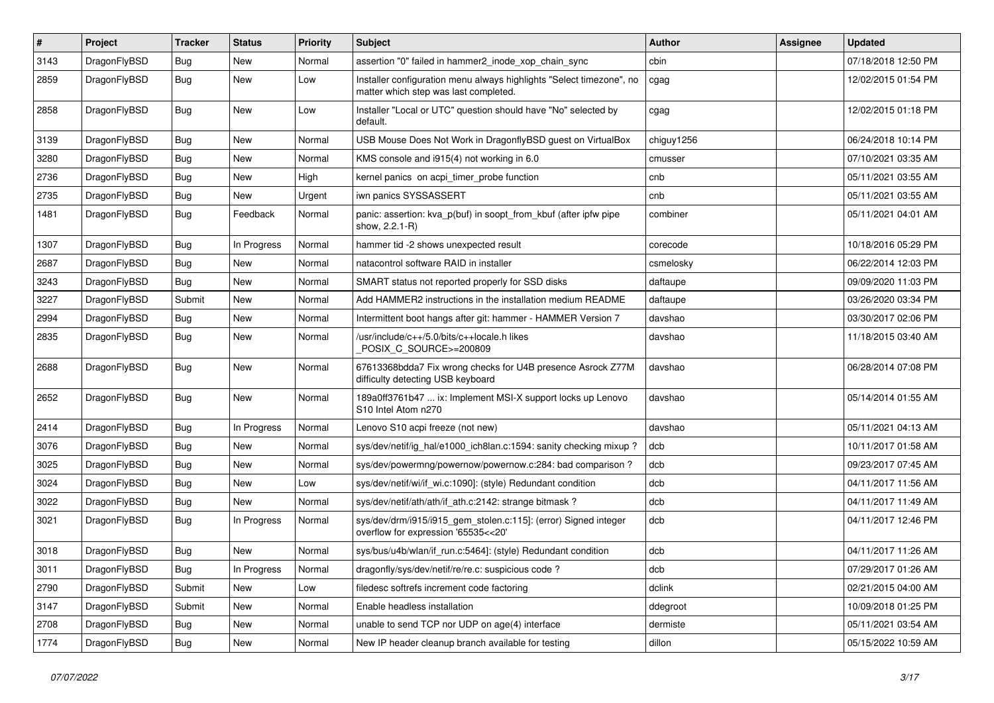| #    | Project      | <b>Tracker</b> | <b>Status</b> | <b>Priority</b> | <b>Subject</b>                                                                                                | Author     | Assignee | <b>Updated</b>      |
|------|--------------|----------------|---------------|-----------------|---------------------------------------------------------------------------------------------------------------|------------|----------|---------------------|
| 3143 | DragonFlyBSD | Bug            | New           | Normal          | assertion "0" failed in hammer2 inode xop chain sync                                                          | cbin       |          | 07/18/2018 12:50 PM |
| 2859 | DragonFlyBSD | Bug            | New           | Low             | Installer configuration menu always highlights "Select timezone", no<br>matter which step was last completed. | cgag       |          | 12/02/2015 01:54 PM |
| 2858 | DragonFlyBSD | Bug            | New           | Low             | Installer "Local or UTC" question should have "No" selected by<br>default.                                    | cgag       |          | 12/02/2015 01:18 PM |
| 3139 | DragonFlyBSD | Bug            | <b>New</b>    | Normal          | USB Mouse Does Not Work in DragonflyBSD guest on VirtualBox                                                   | chiguy1256 |          | 06/24/2018 10:14 PM |
| 3280 | DragonFlyBSD | Bug            | <b>New</b>    | Normal          | KMS console and i915(4) not working in 6.0                                                                    | cmusser    |          | 07/10/2021 03:35 AM |
| 2736 | DragonFlyBSD | Bug            | New           | High            | kernel panics on acpi timer probe function                                                                    | cnb        |          | 05/11/2021 03:55 AM |
| 2735 | DragonFlyBSD | Bug            | New           | Urgent          | iwn panics SYSSASSERT                                                                                         | cnb        |          | 05/11/2021 03:55 AM |
| 1481 | DragonFlyBSD | Bug            | Feedback      | Normal          | panic: assertion: kva_p(buf) in soopt_from_kbuf (after ipfw pipe<br>show, 2.2.1-R)                            | combiner   |          | 05/11/2021 04:01 AM |
| 1307 | DragonFlyBSD | Bug            | In Progress   | Normal          | hammer tid -2 shows unexpected result                                                                         | corecode   |          | 10/18/2016 05:29 PM |
| 2687 | DragonFlyBSD | Bug            | <b>New</b>    | Normal          | natacontrol software RAID in installer                                                                        | csmelosky  |          | 06/22/2014 12:03 PM |
| 3243 | DragonFlyBSD | <b>Bug</b>     | New           | Normal          | SMART status not reported properly for SSD disks                                                              | daftaupe   |          | 09/09/2020 11:03 PM |
| 3227 | DragonFlyBSD | Submit         | <b>New</b>    | Normal          | Add HAMMER2 instructions in the installation medium README                                                    | daftaupe   |          | 03/26/2020 03:34 PM |
| 2994 | DragonFlyBSD | <b>Bug</b>     | New           | Normal          | Intermittent boot hangs after git: hammer - HAMMER Version 7                                                  | davshao    |          | 03/30/2017 02:06 PM |
| 2835 | DragonFlyBSD | Bug            | New           | Normal          | /usr/include/c++/5.0/bits/c++locale.h likes<br>POSIX C_SOURCE>=200809                                         | davshao    |          | 11/18/2015 03:40 AM |
| 2688 | DragonFlyBSD | Bug            | <b>New</b>    | Normal          | 67613368bdda7 Fix wrong checks for U4B presence Asrock Z77M<br>difficulty detecting USB keyboard              | davshao    |          | 06/28/2014 07:08 PM |
| 2652 | DragonFlyBSD | <b>Bug</b>     | New           | Normal          | 189a0ff3761b47  ix: Implement MSI-X support locks up Lenovo<br>S10 Intel Atom n270                            | davshao    |          | 05/14/2014 01:55 AM |
| 2414 | DragonFlyBSD | Bug            | In Progress   | Normal          | Lenovo S10 acpi freeze (not new)                                                                              | davshao    |          | 05/11/2021 04:13 AM |
| 3076 | DragonFlyBSD | Bug            | New           | Normal          | sys/dev/netif/ig hal/e1000 ich8lan.c:1594: sanity checking mixup?                                             | dcb        |          | 10/11/2017 01:58 AM |
| 3025 | DragonFlyBSD | Bug            | <b>New</b>    | Normal          | sys/dev/powermng/powernow/powernow.c:284: bad comparison?                                                     | dcb        |          | 09/23/2017 07:45 AM |
| 3024 | DragonFlyBSD | <b>Bug</b>     | <b>New</b>    | Low             | sys/dev/netif/wi/if_wi.c:1090]: (style) Redundant condition                                                   | dcb        |          | 04/11/2017 11:56 AM |
| 3022 | DragonFlyBSD | <b>Bug</b>     | New           | Normal          | sys/dev/netif/ath/ath/if ath.c:2142: strange bitmask?                                                         | dcb        |          | 04/11/2017 11:49 AM |
| 3021 | DragonFlyBSD | Bug            | In Progress   | Normal          | sys/dev/drm/i915/i915_gem_stolen.c:115]: (error) Signed integer<br>overflow for expression '65535<<20'        | dcb        |          | 04/11/2017 12:46 PM |
| 3018 | DragonFlyBSD | <b>Bug</b>     | New           | Normal          | sys/bus/u4b/wlan/if run.c:5464]: (style) Redundant condition                                                  | dcb        |          | 04/11/2017 11:26 AM |
| 3011 | DragonFlyBSD | Bug            | In Progress   | Normal          | dragonfly/sys/dev/netif/re/re.c: suspicious code ?                                                            | dcb        |          | 07/29/2017 01:26 AM |
| 2790 | DragonFlyBSD | Submit         | New           | Low             | filedesc softrefs increment code factoring                                                                    | dclink     |          | 02/21/2015 04:00 AM |
| 3147 | DragonFlyBSD | Submit         | New           | Normal          | Enable headless installation                                                                                  | ddegroot   |          | 10/09/2018 01:25 PM |
| 2708 | DragonFlyBSD | Bug            | New           | Normal          | unable to send TCP nor UDP on age(4) interface                                                                | dermiste   |          | 05/11/2021 03:54 AM |
| 1774 | DragonFlyBSD | <b>Bug</b>     | New           | Normal          | New IP header cleanup branch available for testing                                                            | dillon     |          | 05/15/2022 10:59 AM |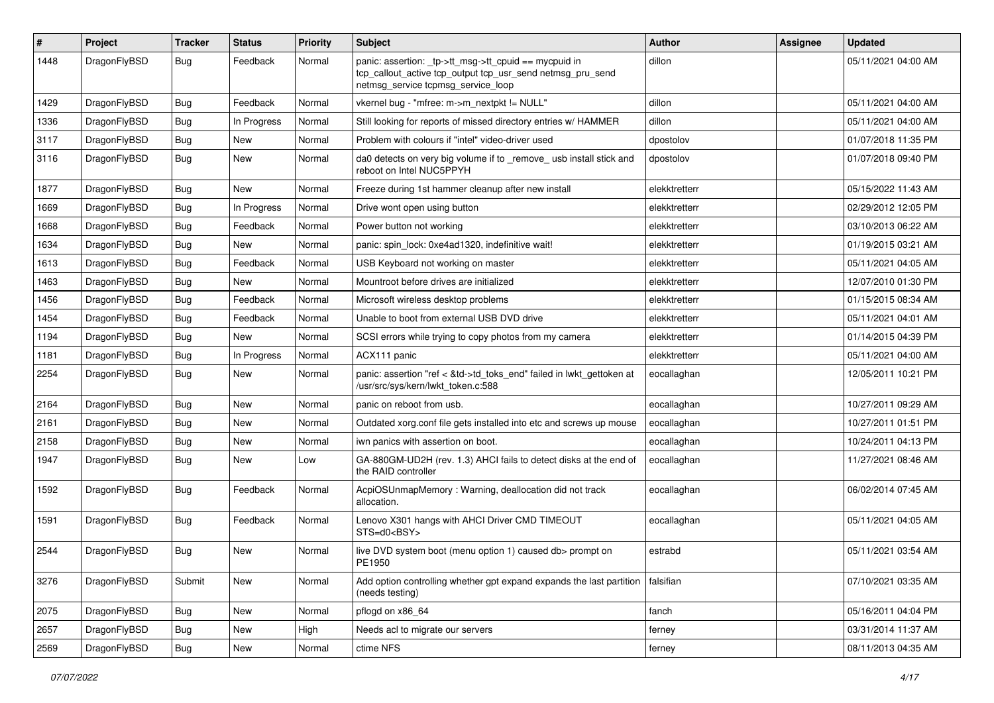| #    | Project      | <b>Tracker</b> | <b>Status</b> | <b>Priority</b> | Subject                                                                                                                                                   | <b>Author</b> | Assignee | <b>Updated</b>      |
|------|--------------|----------------|---------------|-----------------|-----------------------------------------------------------------------------------------------------------------------------------------------------------|---------------|----------|---------------------|
| 1448 | DragonFlyBSD | Bug            | Feedback      | Normal          | panic: assertion: _tp->tt_msg->tt_cpuid == mycpuid in<br>tcp_callout_active tcp_output tcp_usr_send netmsg_pru_send<br>netmsg_service tcpmsg_service_loop | dillon        |          | 05/11/2021 04:00 AM |
| 1429 | DragonFlyBSD | Bug            | Feedback      | Normal          | vkernel bug - "mfree: m->m_nextpkt != NULL"                                                                                                               | dillon        |          | 05/11/2021 04:00 AM |
| 1336 | DragonFlyBSD | <b>Bug</b>     | In Progress   | Normal          | Still looking for reports of missed directory entries w/ HAMMER                                                                                           | dillon        |          | 05/11/2021 04:00 AM |
| 3117 | DragonFlyBSD | <b>Bug</b>     | New           | Normal          | Problem with colours if "intel" video-driver used                                                                                                         | dpostolov     |          | 01/07/2018 11:35 PM |
| 3116 | DragonFlyBSD | Bug            | <b>New</b>    | Normal          | da0 detects on very big volume if to _remove_ usb install stick and<br>reboot on Intel NUC5PPYH                                                           | dpostolov     |          | 01/07/2018 09:40 PM |
| 1877 | DragonFlyBSD | <b>Bug</b>     | <b>New</b>    | Normal          | Freeze during 1st hammer cleanup after new install                                                                                                        | elekktretterr |          | 05/15/2022 11:43 AM |
| 1669 | DragonFlyBSD | <b>Bug</b>     | In Progress   | Normal          | Drive wont open using button                                                                                                                              | elekktretterr |          | 02/29/2012 12:05 PM |
| 1668 | DragonFlyBSD | <b>Bug</b>     | Feedback      | Normal          | Power button not working                                                                                                                                  | elekktretterr |          | 03/10/2013 06:22 AM |
| 1634 | DragonFlyBSD | <b>Bug</b>     | New           | Normal          | panic: spin lock: 0xe4ad1320, indefinitive wait!                                                                                                          | elekktretterr |          | 01/19/2015 03:21 AM |
| 1613 | DragonFlyBSD | <b>Bug</b>     | Feedback      | Normal          | USB Keyboard not working on master                                                                                                                        | elekktretterr |          | 05/11/2021 04:05 AM |
| 1463 | DragonFlyBSD | <b>Bug</b>     | New           | Normal          | Mountroot before drives are initialized                                                                                                                   | elekktretterr |          | 12/07/2010 01:30 PM |
| 1456 | DragonFlyBSD | <b>Bug</b>     | Feedback      | Normal          | Microsoft wireless desktop problems                                                                                                                       | elekktretterr |          | 01/15/2015 08:34 AM |
| 1454 | DragonFlyBSD | <b>Bug</b>     | Feedback      | Normal          | Unable to boot from external USB DVD drive                                                                                                                | elekktretterr |          | 05/11/2021 04:01 AM |
| 1194 | DragonFlyBSD | <b>Bug</b>     | New           | Normal          | SCSI errors while trying to copy photos from my camera                                                                                                    | elekktretterr |          | 01/14/2015 04:39 PM |
| 1181 | DragonFlyBSD | Bug            | In Progress   | Normal          | ACX111 panic                                                                                                                                              | elekktretterr |          | 05/11/2021 04:00 AM |
| 2254 | DragonFlyBSD | <b>Bug</b>     | New           | Normal          | panic: assertion "ref < &td->td_toks_end" failed in lwkt_gettoken at<br>/usr/src/sys/kern/lwkt_token.c:588                                                | eocallaghan   |          | 12/05/2011 10:21 PM |
| 2164 | DragonFlyBSD | Bug            | <b>New</b>    | Normal          | panic on reboot from usb.                                                                                                                                 | eocallaghan   |          | 10/27/2011 09:29 AM |
| 2161 | DragonFlyBSD | <b>Bug</b>     | <b>New</b>    | Normal          | Outdated xorg.conf file gets installed into etc and screws up mouse                                                                                       | eocallaghan   |          | 10/27/2011 01:51 PM |
| 2158 | DragonFlyBSD | <b>Bug</b>     | <b>New</b>    | Normal          | iwn panics with assertion on boot.                                                                                                                        | eocallaghan   |          | 10/24/2011 04:13 PM |
| 1947 | DragonFlyBSD | <b>Bug</b>     | New           | Low             | GA-880GM-UD2H (rev. 1.3) AHCI fails to detect disks at the end of<br>the RAID controller                                                                  | eocallaghan   |          | 11/27/2021 08:46 AM |
| 1592 | DragonFlyBSD | <b>Bug</b>     | Feedback      | Normal          | AcpiOSUnmapMemory: Warning, deallocation did not track<br>allocation.                                                                                     | eocallaghan   |          | 06/02/2014 07:45 AM |
| 1591 | DragonFlyBSD | Bug            | Feedback      | Normal          | Lenovo X301 hangs with AHCI Driver CMD TIMEOUT<br>$STS=d0<BSY>$                                                                                           | eocallaghan   |          | 05/11/2021 04:05 AM |
| 2544 | DragonFlyBSD | Bug            | <b>New</b>    | Normal          | live DVD system boot (menu option 1) caused db> prompt on<br>PE1950                                                                                       | estrabd       |          | 05/11/2021 03:54 AM |
| 3276 | DragonFlyBSD | Submit         | New           | Normal          | Add option controlling whether gpt expand expands the last partition<br>(needs testing)                                                                   | falsifian     |          | 07/10/2021 03:35 AM |
| 2075 | DragonFlyBSD | <b>Bug</b>     | New           | Normal          | pflogd on x86_64                                                                                                                                          | fanch         |          | 05/16/2011 04:04 PM |
| 2657 | DragonFlyBSD | Bug            | New           | High            | Needs acl to migrate our servers                                                                                                                          | ferney        |          | 03/31/2014 11:37 AM |
| 2569 | DragonFlyBSD | <b>Bug</b>     | New           | Normal          | ctime NFS                                                                                                                                                 | ferney        |          | 08/11/2013 04:35 AM |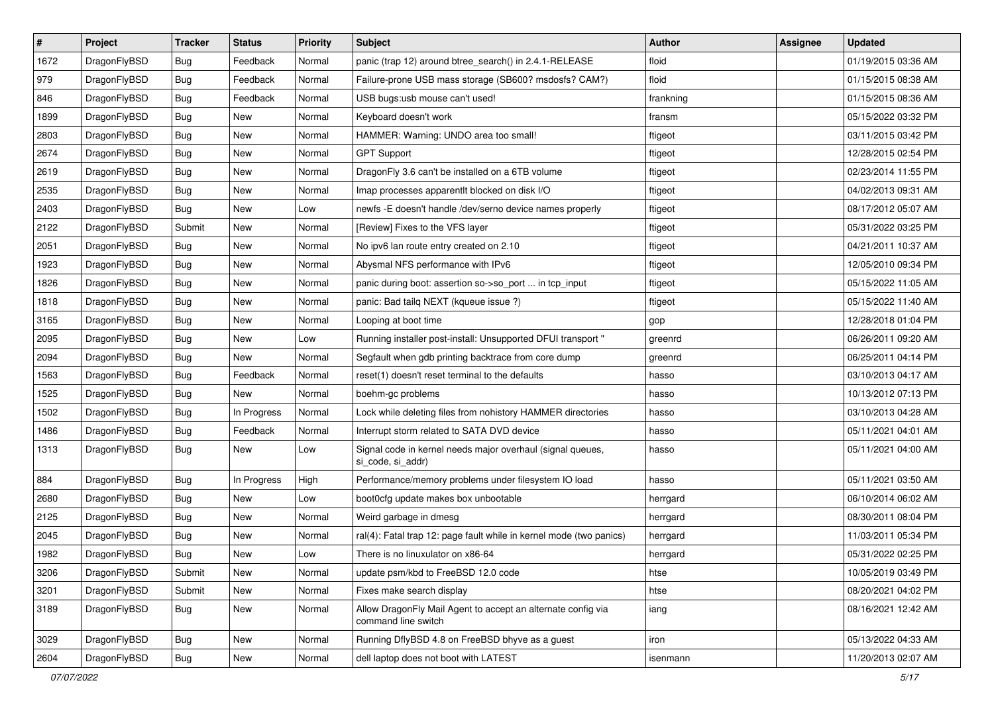| #    | Project      | <b>Tracker</b> | <b>Status</b> | <b>Priority</b> | Subject                                                                             | <b>Author</b> | <b>Assignee</b> | <b>Updated</b>      |
|------|--------------|----------------|---------------|-----------------|-------------------------------------------------------------------------------------|---------------|-----------------|---------------------|
| 1672 | DragonFlyBSD | <b>Bug</b>     | Feedback      | Normal          | panic (trap 12) around btree_search() in 2.4.1-RELEASE                              | floid         |                 | 01/19/2015 03:36 AM |
| 979  | DragonFlyBSD | <b>Bug</b>     | Feedback      | Normal          | Failure-prone USB mass storage (SB600? msdosfs? CAM?)                               | floid         |                 | 01/15/2015 08:38 AM |
| 846  | DragonFlyBSD | <b>Bug</b>     | Feedback      | Normal          | USB bugs:usb mouse can't used!                                                      | frankning     |                 | 01/15/2015 08:36 AM |
| 1899 | DragonFlyBSD | <b>Bug</b>     | New           | Normal          | Keyboard doesn't work                                                               | fransm        |                 | 05/15/2022 03:32 PM |
| 2803 | DragonFlyBSD | <b>Bug</b>     | <b>New</b>    | Normal          | HAMMER: Warning: UNDO area too small!                                               | ftigeot       |                 | 03/11/2015 03:42 PM |
| 2674 | DragonFlyBSD | <b>Bug</b>     | New           | Normal          | <b>GPT Support</b>                                                                  | ftigeot       |                 | 12/28/2015 02:54 PM |
| 2619 | DragonFlyBSD | <b>Bug</b>     | New           | Normal          | DragonFly 3.6 can't be installed on a 6TB volume                                    | ftigeot       |                 | 02/23/2014 11:55 PM |
| 2535 | DragonFlyBSD | <b>Bug</b>     | <b>New</b>    | Normal          | Imap processes apparentlt blocked on disk I/O                                       | ftigeot       |                 | 04/02/2013 09:31 AM |
| 2403 | DragonFlyBSD | Bug            | New           | Low             | newfs - E doesn't handle /dev/serno device names properly                           | ftigeot       |                 | 08/17/2012 05:07 AM |
| 2122 | DragonFlyBSD | Submit         | <b>New</b>    | Normal          | [Review] Fixes to the VFS layer                                                     | ftigeot       |                 | 05/31/2022 03:25 PM |
| 2051 | DragonFlyBSD | Bug            | New           | Normal          | No ipv6 lan route entry created on 2.10                                             | ftigeot       |                 | 04/21/2011 10:37 AM |
| 1923 | DragonFlyBSD | Bug            | New           | Normal          | Abysmal NFS performance with IPv6                                                   | ftigeot       |                 | 12/05/2010 09:34 PM |
| 1826 | DragonFlyBSD | Bug            | New           | Normal          | panic during boot: assertion so->so_port  in tcp_input                              | ftigeot       |                 | 05/15/2022 11:05 AM |
| 1818 | DragonFlyBSD | Bug            | <b>New</b>    | Normal          | panic: Bad tailq NEXT (kqueue issue ?)                                              | ftigeot       |                 | 05/15/2022 11:40 AM |
| 3165 | DragonFlyBSD | Bug            | <b>New</b>    | Normal          | Looping at boot time                                                                | gop           |                 | 12/28/2018 01:04 PM |
| 2095 | DragonFlyBSD | <b>Bug</b>     | <b>New</b>    | Low             | Running installer post-install: Unsupported DFUI transport "                        | greenrd       |                 | 06/26/2011 09:20 AM |
| 2094 | DragonFlyBSD | <b>Bug</b>     | New           | Normal          | Segfault when gdb printing backtrace from core dump                                 | greenrd       |                 | 06/25/2011 04:14 PM |
| 1563 | DragonFlyBSD | Bug            | Feedback      | Normal          | reset(1) doesn't reset terminal to the defaults                                     | hasso         |                 | 03/10/2013 04:17 AM |
| 1525 | DragonFlyBSD | Bug            | New           | Normal          | boehm-gc problems                                                                   | hasso         |                 | 10/13/2012 07:13 PM |
| 1502 | DragonFlyBSD | Bug            | In Progress   | Normal          | Lock while deleting files from nohistory HAMMER directories                         | hasso         |                 | 03/10/2013 04:28 AM |
| 1486 | DragonFlyBSD | <b>Bug</b>     | Feedback      | Normal          | Interrupt storm related to SATA DVD device                                          | hasso         |                 | 05/11/2021 04:01 AM |
| 1313 | DragonFlyBSD | <b>Bug</b>     | New           | Low             | Signal code in kernel needs major overhaul (signal queues,<br>si_code, si_addr)     | hasso         |                 | 05/11/2021 04:00 AM |
| 884  | DragonFlyBSD | <b>Bug</b>     | In Progress   | High            | Performance/memory problems under filesystem IO load                                | hasso         |                 | 05/11/2021 03:50 AM |
| 2680 | DragonFlyBSD | <b>Bug</b>     | <b>New</b>    | Low             | boot0cfg update makes box unbootable                                                | herrgard      |                 | 06/10/2014 06:02 AM |
| 2125 | DragonFlyBSD | <b>Bug</b>     | <b>New</b>    | Normal          | Weird garbage in dmesg                                                              | herrgard      |                 | 08/30/2011 08:04 PM |
| 2045 | DragonFlyBSD | <b>Bug</b>     | <b>New</b>    | Normal          | ral(4): Fatal trap 12: page fault while in kernel mode (two panics)                 | herrgard      |                 | 11/03/2011 05:34 PM |
| 1982 | DragonFlyBSD | Bug            | New           | Low             | There is no linuxulator on x86-64                                                   | herrgard      |                 | 05/31/2022 02:25 PM |
| 3206 | DragonFlyBSD | Submit         | <b>New</b>    | Normal          | update psm/kbd to FreeBSD 12.0 code                                                 | htse          |                 | 10/05/2019 03:49 PM |
| 3201 | DragonFlyBSD | Submit         | <b>New</b>    | Normal          | Fixes make search display                                                           | htse          |                 | 08/20/2021 04:02 PM |
| 3189 | DragonFlyBSD | Bug            | <b>New</b>    | Normal          | Allow DragonFly Mail Agent to accept an alternate config via<br>command line switch | iang          |                 | 08/16/2021 12:42 AM |
| 3029 | DragonFlyBSD | Bug            | New           | Normal          | Running DflyBSD 4.8 on FreeBSD bhyve as a guest                                     | iron          |                 | 05/13/2022 04:33 AM |
| 2604 | DragonFlyBSD | <b>Bug</b>     | New           | Normal          | dell laptop does not boot with LATEST                                               | isenmann      |                 | 11/20/2013 02:07 AM |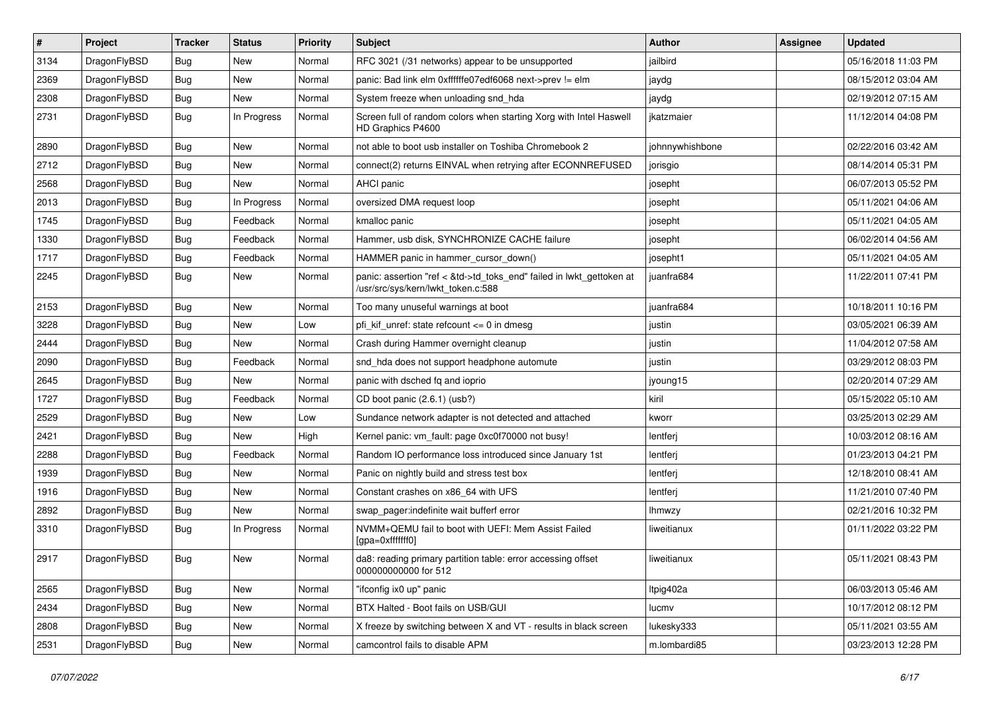| #    | Project      | <b>Tracker</b> | <b>Status</b> | <b>Priority</b> | Subject                                                                                                    | Author          | Assignee | <b>Updated</b>      |
|------|--------------|----------------|---------------|-----------------|------------------------------------------------------------------------------------------------------------|-----------------|----------|---------------------|
| 3134 | DragonFlyBSD | Bug            | <b>New</b>    | Normal          | RFC 3021 (/31 networks) appear to be unsupported                                                           | jailbird        |          | 05/16/2018 11:03 PM |
| 2369 | DragonFlyBSD | <b>Bug</b>     | <b>New</b>    | Normal          | panic: Bad link elm 0xffffffe07edf6068 next->prev != elm                                                   | jaydg           |          | 08/15/2012 03:04 AM |
| 2308 | DragonFlyBSD | <b>Bug</b>     | New           | Normal          | System freeze when unloading snd hda                                                                       | jaydg           |          | 02/19/2012 07:15 AM |
| 2731 | DragonFlyBSD | Bug            | In Progress   | Normal          | Screen full of random colors when starting Xorg with Intel Haswell<br>HD Graphics P4600                    | jkatzmaier      |          | 11/12/2014 04:08 PM |
| 2890 | DragonFlyBSD | <b>Bug</b>     | New           | Normal          | not able to boot usb installer on Toshiba Chromebook 2                                                     | johnnywhishbone |          | 02/22/2016 03:42 AM |
| 2712 | DragonFlyBSD | <b>Bug</b>     | <b>New</b>    | Normal          | connect(2) returns EINVAL when retrying after ECONNREFUSED                                                 | jorisgio        |          | 08/14/2014 05:31 PM |
| 2568 | DragonFlyBSD | <b>Bug</b>     | New           | Normal          | <b>AHCI</b> panic                                                                                          | josepht         |          | 06/07/2013 05:52 PM |
| 2013 | DragonFlyBSD | Bug            | In Progress   | Normal          | oversized DMA request loop                                                                                 | josepht         |          | 05/11/2021 04:06 AM |
| 1745 | DragonFlyBSD | Bug            | Feedback      | Normal          | kmalloc panic                                                                                              | josepht         |          | 05/11/2021 04:05 AM |
| 1330 | DragonFlyBSD | Bug            | Feedback      | Normal          | Hammer, usb disk, SYNCHRONIZE CACHE failure                                                                | josepht         |          | 06/02/2014 04:56 AM |
| 1717 | DragonFlyBSD | Bug            | Feedback      | Normal          | HAMMER panic in hammer_cursor_down()                                                                       | josepht1        |          | 05/11/2021 04:05 AM |
| 2245 | DragonFlyBSD | Bug            | New           | Normal          | panic: assertion "ref < &td->td_toks_end" failed in lwkt_gettoken at<br>/usr/src/sys/kern/lwkt_token.c:588 | juanfra684      |          | 11/22/2011 07:41 PM |
| 2153 | DragonFlyBSD | Bug            | <b>New</b>    | Normal          | Too many unuseful warnings at boot                                                                         | juanfra684      |          | 10/18/2011 10:16 PM |
| 3228 | DragonFlyBSD | <b>Bug</b>     | New           | Low             | pfi kif unref: state refcount $\leq$ 0 in dmesg                                                            | justin          |          | 03/05/2021 06:39 AM |
| 2444 | DragonFlyBSD | Bug            | New           | Normal          | Crash during Hammer overnight cleanup                                                                      | justin          |          | 11/04/2012 07:58 AM |
| 2090 | DragonFlyBSD | Bug            | Feedback      | Normal          | snd_hda does not support headphone automute                                                                | justin          |          | 03/29/2012 08:03 PM |
| 2645 | DragonFlyBSD | <b>Bug</b>     | New           | Normal          | panic with dsched fq and ioprio                                                                            | jyoung15        |          | 02/20/2014 07:29 AM |
| 1727 | DragonFlyBSD | Bug            | Feedback      | Normal          | CD boot panic (2.6.1) (usb?)                                                                               | kiril           |          | 05/15/2022 05:10 AM |
| 2529 | DragonFlyBSD | <b>Bug</b>     | New           | Low             | Sundance network adapter is not detected and attached                                                      | kworr           |          | 03/25/2013 02:29 AM |
| 2421 | DragonFlyBSD | Bug            | New           | High            | Kernel panic: vm_fault: page 0xc0f70000 not busy!                                                          | lentferj        |          | 10/03/2012 08:16 AM |
| 2288 | DragonFlyBSD | <b>Bug</b>     | Feedback      | Normal          | Random IO performance loss introduced since January 1st                                                    | lentferj        |          | 01/23/2013 04:21 PM |
| 1939 | DragonFlyBSD | <b>Bug</b>     | New           | Normal          | Panic on nightly build and stress test box                                                                 | lentferj        |          | 12/18/2010 08:41 AM |
| 1916 | DragonFlyBSD | Bug            | <b>New</b>    | Normal          | Constant crashes on x86_64 with UFS                                                                        | lentferj        |          | 11/21/2010 07:40 PM |
| 2892 | DragonFlyBSD | Bug            | New           | Normal          | swap_pager:indefinite wait bufferf error                                                                   | <b>Ihmwzy</b>   |          | 02/21/2016 10:32 PM |
| 3310 | DragonFlyBSD | Bug            | In Progress   | Normal          | NVMM+QEMU fail to boot with UEFI: Mem Assist Failed<br>[gpa=0xfffffff0]                                    | liweitianux     |          | 01/11/2022 03:22 PM |
| 2917 | DragonFlyBSD | <b>Bug</b>     | New           | Normal          | da8: reading primary partition table: error accessing offset<br>000000000000 for 512                       | liweitianux     |          | 05/11/2021 08:43 PM |
| 2565 | DragonFlyBSD | <b>Bug</b>     | New           | Normal          | "ifconfig ix0 up" panic                                                                                    | Itpig402a       |          | 06/03/2013 05:46 AM |
| 2434 | DragonFlyBSD | <b>Bug</b>     | New           | Normal          | BTX Halted - Boot fails on USB/GUI                                                                         | lucmv           |          | 10/17/2012 08:12 PM |
| 2808 | DragonFlyBSD | <b>Bug</b>     | New           | Normal          | X freeze by switching between X and VT - results in black screen                                           | lukesky333      |          | 05/11/2021 03:55 AM |
| 2531 | DragonFlyBSD | <b>Bug</b>     | New           | Normal          | camcontrol fails to disable APM                                                                            | m.lombardi85    |          | 03/23/2013 12:28 PM |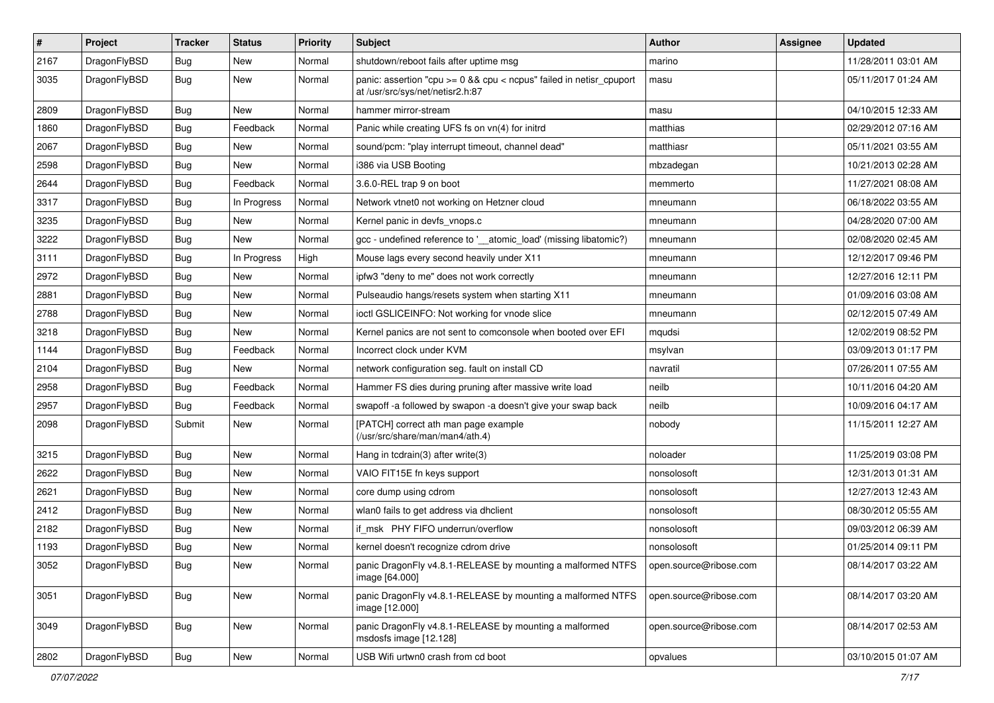| $\pmb{\#}$ | Project      | <b>Tracker</b> | <b>Status</b> | <b>Priority</b> | <b>Subject</b>                                                                                          | <b>Author</b>          | <b>Assignee</b> | <b>Updated</b>      |
|------------|--------------|----------------|---------------|-----------------|---------------------------------------------------------------------------------------------------------|------------------------|-----------------|---------------------|
| 2167       | DragonFlyBSD | Bug            | New           | Normal          | shutdown/reboot fails after uptime msg                                                                  | marino                 |                 | 11/28/2011 03:01 AM |
| 3035       | DragonFlyBSD | Bug            | New           | Normal          | panic: assertion "cpu >= 0 && cpu < ncpus" failed in netisr_cpuport<br>at /usr/src/sys/net/netisr2.h:87 | masu                   |                 | 05/11/2017 01:24 AM |
| 2809       | DragonFlyBSD | Bug            | <b>New</b>    | Normal          | hammer mirror-stream                                                                                    | masu                   |                 | 04/10/2015 12:33 AM |
| 1860       | DragonFlyBSD | Bug            | Feedback      | Normal          | Panic while creating UFS fs on vn(4) for initrd                                                         | matthias               |                 | 02/29/2012 07:16 AM |
| 2067       | DragonFlyBSD | Bug            | <b>New</b>    | Normal          | sound/pcm: "play interrupt timeout, channel dead"                                                       | matthiasr              |                 | 05/11/2021 03:55 AM |
| 2598       | DragonFlyBSD | Bug            | New           | Normal          | i386 via USB Booting                                                                                    | mbzadegan              |                 | 10/21/2013 02:28 AM |
| 2644       | DragonFlyBSD | Bug            | Feedback      | Normal          | 3.6.0-REL trap 9 on boot                                                                                | memmerto               |                 | 11/27/2021 08:08 AM |
| 3317       | DragonFlyBSD | Bug            | In Progress   | Normal          | Network vtnet0 not working on Hetzner cloud                                                             | mneumann               |                 | 06/18/2022 03:55 AM |
| 3235       | DragonFlyBSD | Bug            | <b>New</b>    | Normal          | Kernel panic in devfs_vnops.c                                                                           | mneumann               |                 | 04/28/2020 07:00 AM |
| 3222       | DragonFlyBSD | Bug            | New           | Normal          | gcc - undefined reference to '__atomic_load' (missing libatomic?)                                       | mneumann               |                 | 02/08/2020 02:45 AM |
| 3111       | DragonFlyBSD | Bug            | In Progress   | High            | Mouse lags every second heavily under X11                                                               | mneumann               |                 | 12/12/2017 09:46 PM |
| 2972       | DragonFlyBSD | Bug            | New           | Normal          | ipfw3 "deny to me" does not work correctly                                                              | mneumann               |                 | 12/27/2016 12:11 PM |
| 2881       | DragonFlyBSD | Bug            | <b>New</b>    | Normal          | Pulseaudio hangs/resets system when starting X11                                                        | mneumann               |                 | 01/09/2016 03:08 AM |
| 2788       | DragonFlyBSD | Bug            | <b>New</b>    | Normal          | ioctl GSLICEINFO: Not working for vnode slice                                                           | mneumann               |                 | 02/12/2015 07:49 AM |
| 3218       | DragonFlyBSD | Bug            | <b>New</b>    | Normal          | Kernel panics are not sent to comconsole when booted over EFI                                           | mqudsi                 |                 | 12/02/2019 08:52 PM |
| 1144       | DragonFlyBSD | Bug            | Feedback      | Normal          | Incorrect clock under KVM                                                                               | msylvan                |                 | 03/09/2013 01:17 PM |
| 2104       | DragonFlyBSD | Bug            | <b>New</b>    | Normal          | network configuration seg. fault on install CD                                                          | navratil               |                 | 07/26/2011 07:55 AM |
| 2958       | DragonFlyBSD | Bug            | Feedback      | Normal          | Hammer FS dies during pruning after massive write load                                                  | neilb                  |                 | 10/11/2016 04:20 AM |
| 2957       | DragonFlyBSD | Bug            | Feedback      | Normal          | swapoff -a followed by swapon -a doesn't give your swap back                                            | neilb                  |                 | 10/09/2016 04:17 AM |
| 2098       | DragonFlyBSD | Submit         | <b>New</b>    | Normal          | [PATCH] correct ath man page example<br>(/usr/src/share/man/man4/ath.4)                                 | nobody                 |                 | 11/15/2011 12:27 AM |
| 3215       | DragonFlyBSD | Bug            | <b>New</b>    | Normal          | Hang in tcdrain(3) after write(3)                                                                       | noloader               |                 | 11/25/2019 03:08 PM |
| 2622       | DragonFlyBSD | Bug            | New           | Normal          | VAIO FIT15E fn keys support                                                                             | nonsolosoft            |                 | 12/31/2013 01:31 AM |
| 2621       | DragonFlyBSD | Bug            | <b>New</b>    | Normal          | core dump using cdrom                                                                                   | nonsolosoft            |                 | 12/27/2013 12:43 AM |
| 2412       | DragonFlyBSD | Bug            | New           | Normal          | wlan0 fails to get address via dhclient                                                                 | nonsolosoft            |                 | 08/30/2012 05:55 AM |
| 2182       | DragonFlyBSD | Bug            | <b>New</b>    | Normal          | if_msk PHY FIFO underrun/overflow                                                                       | nonsolosoft            |                 | 09/03/2012 06:39 AM |
| 1193       | DragonFlyBSD | Bug            | New           | Normal          | kernel doesn't recognize cdrom drive                                                                    | nonsolosoft            |                 | 01/25/2014 09:11 PM |
| 3052       | DragonFlyBSD | Bug            | New           | Normal          | panic DragonFly v4.8.1-RELEASE by mounting a malformed NTFS<br>image [64.000]                           | open.source@ribose.com |                 | 08/14/2017 03:22 AM |
| 3051       | DragonFlyBSD | Bug            | New           | Normal          | panic DragonFly v4.8.1-RELEASE by mounting a malformed NTFS<br>image [12.000]                           | open.source@ribose.com |                 | 08/14/2017 03:20 AM |
| 3049       | DragonFlyBSD | Bug            | New           | Normal          | panic DragonFly v4.8.1-RELEASE by mounting a malformed<br>msdosfs image [12.128]                        | open.source@ribose.com |                 | 08/14/2017 02:53 AM |
| 2802       | DragonFlyBSD | <b>Bug</b>     | New           | Normal          | USB Wifi urtwn0 crash from cd boot                                                                      | opvalues               |                 | 03/10/2015 01:07 AM |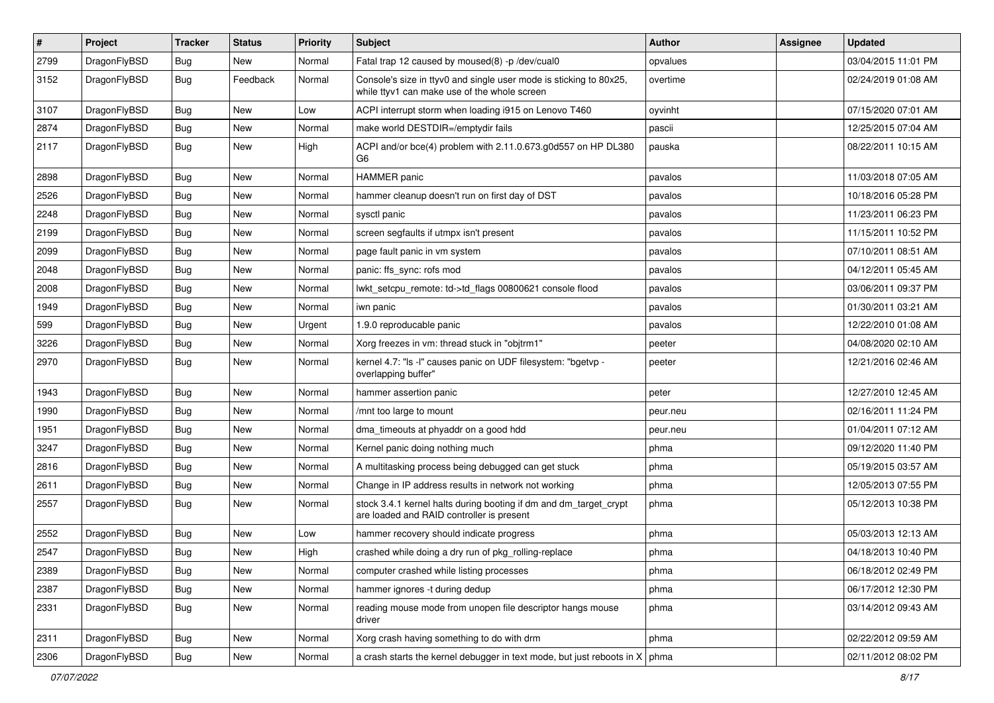| $\sharp$ | Project      | <b>Tracker</b> | <b>Status</b> | <b>Priority</b> | Subject                                                                                                            | <b>Author</b> | <b>Assignee</b> | <b>Updated</b>      |
|----------|--------------|----------------|---------------|-----------------|--------------------------------------------------------------------------------------------------------------------|---------------|-----------------|---------------------|
| 2799     | DragonFlyBSD | <b>Bug</b>     | New           | Normal          | Fatal trap 12 caused by moused(8) -p /dev/cual0                                                                    | opvalues      |                 | 03/04/2015 11:01 PM |
| 3152     | DragonFlyBSD | <b>Bug</b>     | Feedback      | Normal          | Console's size in ttyv0 and single user mode is sticking to 80x25,<br>while ttyv1 can make use of the whole screen | overtime      |                 | 02/24/2019 01:08 AM |
| 3107     | DragonFlyBSD | Bug            | <b>New</b>    | Low             | ACPI interrupt storm when loading i915 on Lenovo T460                                                              | oyvinht       |                 | 07/15/2020 07:01 AM |
| 2874     | DragonFlyBSD | <b>Bug</b>     | New           | Normal          | make world DESTDIR=/emptydir fails                                                                                 | pascii        |                 | 12/25/2015 07:04 AM |
| 2117     | DragonFlyBSD | <b>Bug</b>     | New           | High            | ACPI and/or bce(4) problem with 2.11.0.673.g0d557 on HP DL380<br>G6                                                | pauska        |                 | 08/22/2011 10:15 AM |
| 2898     | DragonFlyBSD | Bug            | New           | Normal          | <b>HAMMER</b> panic                                                                                                | pavalos       |                 | 11/03/2018 07:05 AM |
| 2526     | DragonFlyBSD | <b>Bug</b>     | New           | Normal          | hammer cleanup doesn't run on first day of DST                                                                     | pavalos       |                 | 10/18/2016 05:28 PM |
| 2248     | DragonFlyBSD | Bug            | <b>New</b>    | Normal          | sysctl panic                                                                                                       | pavalos       |                 | 11/23/2011 06:23 PM |
| 2199     | DragonFlyBSD | <b>Bug</b>     | New           | Normal          | screen segfaults if utmpx isn't present                                                                            | pavalos       |                 | 11/15/2011 10:52 PM |
| 2099     | DragonFlyBSD | <b>Bug</b>     | <b>New</b>    | Normal          | page fault panic in vm system                                                                                      | pavalos       |                 | 07/10/2011 08:51 AM |
| 2048     | DragonFlyBSD | <b>Bug</b>     | New           | Normal          | panic: ffs_sync: rofs mod                                                                                          | pavalos       |                 | 04/12/2011 05:45 AM |
| 2008     | DragonFlyBSD | Bug            | New           | Normal          | lwkt_setcpu_remote: td->td_flags 00800621 console flood                                                            | pavalos       |                 | 03/06/2011 09:37 PM |
| 1949     | DragonFlyBSD | Bug            | New           | Normal          | iwn panic                                                                                                          | pavalos       |                 | 01/30/2011 03:21 AM |
| 599      | DragonFlyBSD | Bug            | <b>New</b>    | Urgent          | 1.9.0 reproducable panic                                                                                           | pavalos       |                 | 12/22/2010 01:08 AM |
| 3226     | DragonFlyBSD | Bug            | <b>New</b>    | Normal          | Xorg freezes in vm: thread stuck in "objtrm1"                                                                      | peeter        |                 | 04/08/2020 02:10 AM |
| 2970     | DragonFlyBSD | Bug            | <b>New</b>    | Normal          | kernel 4.7: "Is -l" causes panic on UDF filesystem: "bgetvp -<br>overlapping buffer"                               | peeter        |                 | 12/21/2016 02:46 AM |
| 1943     | DragonFlyBSD | Bug            | New           | Normal          | hammer assertion panic                                                                                             | peter         |                 | 12/27/2010 12:45 AM |
| 1990     | DragonFlyBSD | Bug            | <b>New</b>    | Normal          | /mnt too large to mount                                                                                            | peur.neu      |                 | 02/16/2011 11:24 PM |
| 1951     | DragonFlyBSD | Bug            | New           | Normal          | dma_timeouts at phyaddr on a good hdd                                                                              | peur.neu      |                 | 01/04/2011 07:12 AM |
| 3247     | DragonFlyBSD | Bug            | New           | Normal          | Kernel panic doing nothing much                                                                                    | phma          |                 | 09/12/2020 11:40 PM |
| 2816     | DragonFlyBSD | Bug            | New           | Normal          | A multitasking process being debugged can get stuck                                                                | phma          |                 | 05/19/2015 03:57 AM |
| 2611     | DragonFlyBSD | Bug            | <b>New</b>    | Normal          | Change in IP address results in network not working                                                                | phma          |                 | 12/05/2013 07:55 PM |
| 2557     | DragonFlyBSD | Bug            | <b>New</b>    | Normal          | stock 3.4.1 kernel halts during booting if dm and dm_target_crypt<br>are loaded and RAID controller is present     | phma          |                 | 05/12/2013 10:38 PM |
| 2552     | DragonFlyBSD | Bug            | New           | Low             | hammer recovery should indicate progress                                                                           | phma          |                 | 05/03/2013 12:13 AM |
| 2547     | DragonFlyBSD | <b>Bug</b>     | New           | High            | crashed while doing a dry run of pkg_rolling-replace                                                               | phma          |                 | 04/18/2013 10:40 PM |
| 2389     | DragonFlyBSD | <b>Bug</b>     | New           | Normal          | computer crashed while listing processes                                                                           | phma          |                 | 06/18/2012 02:49 PM |
| 2387     | DragonFlyBSD | <b>Bug</b>     | <b>New</b>    | Normal          | hammer ignores -t during dedup                                                                                     | phma          |                 | 06/17/2012 12:30 PM |
| 2331     | DragonFlyBSD | <b>Bug</b>     | New           | Normal          | reading mouse mode from unopen file descriptor hangs mouse<br>driver                                               | phma          |                 | 03/14/2012 09:43 AM |
| 2311     | DragonFlyBSD | Bug            | <b>New</b>    | Normal          | Xorg crash having something to do with drm                                                                         | phma          |                 | 02/22/2012 09:59 AM |
| 2306     | DragonFlyBSD | <b>Bug</b>     | New           | Normal          | a crash starts the kernel debugger in text mode, but just reboots in $X \mid p$ hma                                |               |                 | 02/11/2012 08:02 PM |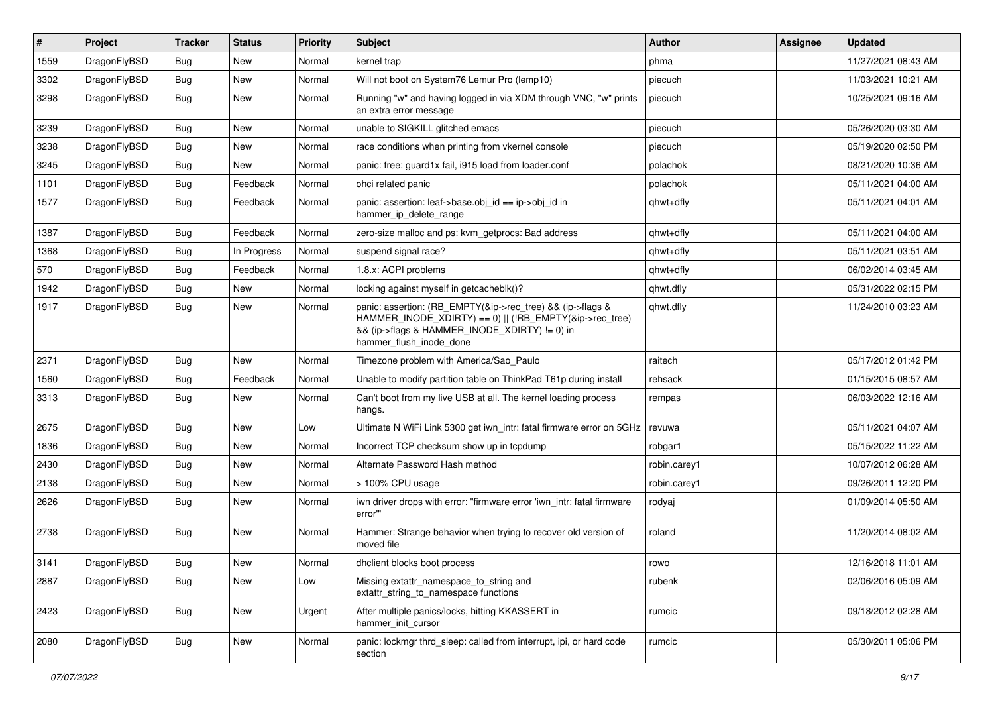| $\vert$ # | Project      | <b>Tracker</b> | <b>Status</b> | <b>Priority</b> | Subject                                                                                                                                                                                           | <b>Author</b> | Assignee | <b>Updated</b>      |
|-----------|--------------|----------------|---------------|-----------------|---------------------------------------------------------------------------------------------------------------------------------------------------------------------------------------------------|---------------|----------|---------------------|
| 1559      | DragonFlyBSD | Bug            | New           | Normal          | kernel trap                                                                                                                                                                                       | phma          |          | 11/27/2021 08:43 AM |
| 3302      | DragonFlyBSD | Bug            | New           | Normal          | Will not boot on System76 Lemur Pro (lemp10)                                                                                                                                                      | piecuch       |          | 11/03/2021 10:21 AM |
| 3298      | DragonFlyBSD | Bug            | New           | Normal          | Running "w" and having logged in via XDM through VNC, "w" prints<br>an extra error message                                                                                                        | piecuch       |          | 10/25/2021 09:16 AM |
| 3239      | DragonFlyBSD | Bug            | <b>New</b>    | Normal          | unable to SIGKILL glitched emacs                                                                                                                                                                  | piecuch       |          | 05/26/2020 03:30 AM |
| 3238      | DragonFlyBSD | Bug            | New           | Normal          | race conditions when printing from vkernel console                                                                                                                                                | piecuch       |          | 05/19/2020 02:50 PM |
| 3245      | DragonFlyBSD | Bug            | New           | Normal          | panic: free: guard1x fail, i915 load from loader.conf                                                                                                                                             | polachok      |          | 08/21/2020 10:36 AM |
| 1101      | DragonFlyBSD | Bug            | Feedback      | Normal          | ohci related panic                                                                                                                                                                                | polachok      |          | 05/11/2021 04:00 AM |
| 1577      | DragonFlyBSD | Bug            | Feedback      | Normal          | panic: assertion: leaf->base.obj_id == ip->obj_id in<br>hammer_ip_delete_range                                                                                                                    | qhwt+dfly     |          | 05/11/2021 04:01 AM |
| 1387      | DragonFlyBSD | Bug            | Feedback      | Normal          | zero-size malloc and ps: kvm getprocs: Bad address                                                                                                                                                | qhwt+dfly     |          | 05/11/2021 04:00 AM |
| 1368      | DragonFlyBSD | Bug            | In Progress   | Normal          | suspend signal race?                                                                                                                                                                              | qhwt+dfly     |          | 05/11/2021 03:51 AM |
| 570       | DragonFlyBSD | Bug            | Feedback      | Normal          | 1.8.x: ACPI problems                                                                                                                                                                              | qhwt+dfly     |          | 06/02/2014 03:45 AM |
| 1942      | DragonFlyBSD | Bug            | New           | Normal          | locking against myself in getcacheblk()?                                                                                                                                                          | qhwt.dfly     |          | 05/31/2022 02:15 PM |
| 1917      | DragonFlyBSD | Bug            | New           | Normal          | panic: assertion: (RB_EMPTY(&ip->rec_tree) && (ip->flags &<br>HAMMER_INODE_XDIRTY) == 0)    (!RB_EMPTY(&ip->rec_tree)<br>&& (ip->flags & HAMMER_INODE_XDIRTY) != 0) in<br>hammer_flush_inode_done | qhwt.dfly     |          | 11/24/2010 03:23 AM |
| 2371      | DragonFlyBSD | Bug            | <b>New</b>    | Normal          | Timezone problem with America/Sao_Paulo                                                                                                                                                           | raitech       |          | 05/17/2012 01:42 PM |
| 1560      | DragonFlyBSD | Bug            | Feedback      | Normal          | Unable to modify partition table on ThinkPad T61p during install                                                                                                                                  | rehsack       |          | 01/15/2015 08:57 AM |
| 3313      | DragonFlyBSD | Bug            | New           | Normal          | Can't boot from my live USB at all. The kernel loading process<br>hangs.                                                                                                                          | rempas        |          | 06/03/2022 12:16 AM |
| 2675      | DragonFlyBSD | Bug            | New           | Low             | Ultimate N WiFi Link 5300 get iwn_intr: fatal firmware error on 5GHz                                                                                                                              | revuwa        |          | 05/11/2021 04:07 AM |
| 1836      | DragonFlyBSD | Bug            | New           | Normal          | Incorrect TCP checksum show up in tcpdump                                                                                                                                                         | robgar1       |          | 05/15/2022 11:22 AM |
| 2430      | DragonFlyBSD | Bug            | <b>New</b>    | Normal          | Alternate Password Hash method                                                                                                                                                                    | robin.carey1  |          | 10/07/2012 06:28 AM |
| 2138      | DragonFlyBSD | Bug            | New           | Normal          | > 100% CPU usage                                                                                                                                                                                  | robin.carey1  |          | 09/26/2011 12:20 PM |
| 2626      | DragonFlyBSD | Bug            | <b>New</b>    | Normal          | iwn driver drops with error: "firmware error 'iwn intr: fatal firmware<br>error"                                                                                                                  | rodyaj        |          | 01/09/2014 05:50 AM |
| 2738      | DragonFlyBSD | Bug            | New           | Normal          | Hammer: Strange behavior when trying to recover old version of<br>moved file                                                                                                                      | roland        |          | 11/20/2014 08:02 AM |
| 3141      | DragonFlyBSD | <b>Bug</b>     | <b>New</b>    | Normal          | dhclient blocks boot process                                                                                                                                                                      | rowo          |          | 12/16/2018 11:01 AM |
| 2887      | DragonFlyBSD | Bug            | New           | Low             | Missing extattr_namespace_to_string and<br>extattr_string_to_namespace functions                                                                                                                  | rubenk        |          | 02/06/2016 05:09 AM |
| 2423      | DragonFlyBSD | Bug            | <b>New</b>    | Urgent          | After multiple panics/locks, hitting KKASSERT in<br>hammer init cursor                                                                                                                            | rumcic        |          | 09/18/2012 02:28 AM |
| 2080      | DragonFlyBSD | <b>Bug</b>     | <b>New</b>    | Normal          | panic: lockmgr thrd_sleep: called from interrupt, ipi, or hard code<br>section                                                                                                                    | rumcic        |          | 05/30/2011 05:06 PM |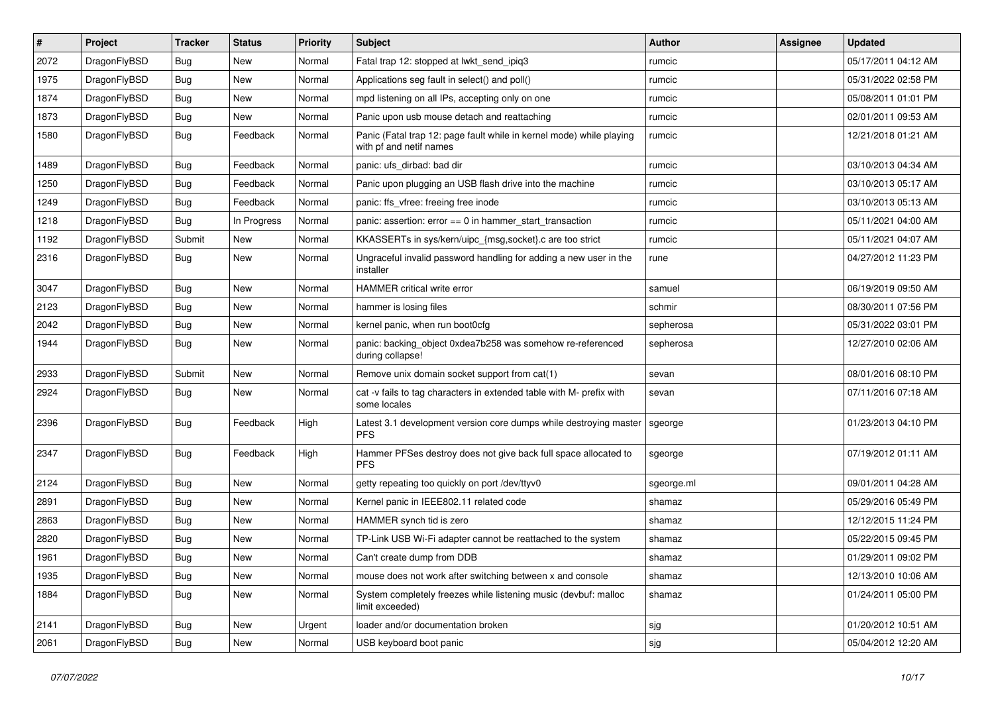| #    | Project      | <b>Tracker</b> | <b>Status</b> | <b>Priority</b> | Subject                                                                                         | Author     | Assignee | <b>Updated</b>      |
|------|--------------|----------------|---------------|-----------------|-------------------------------------------------------------------------------------------------|------------|----------|---------------------|
| 2072 | DragonFlyBSD | Bug            | <b>New</b>    | Normal          | Fatal trap 12: stopped at lwkt_send_ipiq3                                                       | rumcic     |          | 05/17/2011 04:12 AM |
| 1975 | DragonFlyBSD | Bug            | <b>New</b>    | Normal          | Applications seg fault in select() and poll()                                                   | rumcic     |          | 05/31/2022 02:58 PM |
| 1874 | DragonFlyBSD | <b>Bug</b>     | New           | Normal          | mpd listening on all IPs, accepting only on one                                                 | rumcic     |          | 05/08/2011 01:01 PM |
| 1873 | DragonFlyBSD | Bug            | <b>New</b>    | Normal          | Panic upon usb mouse detach and reattaching                                                     | rumcic     |          | 02/01/2011 09:53 AM |
| 1580 | DragonFlyBSD | <b>Bug</b>     | Feedback      | Normal          | Panic (Fatal trap 12: page fault while in kernel mode) while playing<br>with pf and netif names | rumcic     |          | 12/21/2018 01:21 AM |
| 1489 | DragonFlyBSD | Bug            | Feedback      | Normal          | panic: ufs dirbad: bad dir                                                                      | rumcic     |          | 03/10/2013 04:34 AM |
| 1250 | DragonFlyBSD | <b>Bug</b>     | Feedback      | Normal          | Panic upon plugging an USB flash drive into the machine                                         | rumcic     |          | 03/10/2013 05:17 AM |
| 1249 | DragonFlyBSD | Bug            | Feedback      | Normal          | panic: ffs_vfree: freeing free inode                                                            | rumcic     |          | 03/10/2013 05:13 AM |
| 1218 | DragonFlyBSD | <b>Bug</b>     | In Progress   | Normal          | panic: assertion: error == 0 in hammer_start_transaction                                        | rumcic     |          | 05/11/2021 04:00 AM |
| 1192 | DragonFlyBSD | Submit         | New           | Normal          | KKASSERTs in sys/kern/uipc_{msg,socket}.c are too strict                                        | rumcic     |          | 05/11/2021 04:07 AM |
| 2316 | DragonFlyBSD | Bug            | <b>New</b>    | Normal          | Ungraceful invalid password handling for adding a new user in the<br>installer                  | rune       |          | 04/27/2012 11:23 PM |
| 3047 | DragonFlyBSD | <b>Bug</b>     | <b>New</b>    | Normal          | <b>HAMMER</b> critical write error                                                              | samuel     |          | 06/19/2019 09:50 AM |
| 2123 | DragonFlyBSD | Bug            | <b>New</b>    | Normal          | hammer is losing files                                                                          | schmir     |          | 08/30/2011 07:56 PM |
| 2042 | DragonFlyBSD | <b>Bug</b>     | <b>New</b>    | Normal          | kernel panic, when run boot0cfg                                                                 | sepherosa  |          | 05/31/2022 03:01 PM |
| 1944 | DragonFlyBSD | <b>Bug</b>     | New           | Normal          | panic: backing_object 0xdea7b258 was somehow re-referenced<br>during collapse!                  | sepherosa  |          | 12/27/2010 02:06 AM |
| 2933 | DragonFlyBSD | Submit         | New           | Normal          | Remove unix domain socket support from cat(1)                                                   | sevan      |          | 08/01/2016 08:10 PM |
| 2924 | DragonFlyBSD | Bug            | <b>New</b>    | Normal          | cat -v fails to tag characters in extended table with M- prefix with<br>some locales            | sevan      |          | 07/11/2016 07:18 AM |
| 2396 | DragonFlyBSD | <b>Bug</b>     | Feedback      | High            | Latest 3.1 development version core dumps while destroying master<br><b>PFS</b>                 | sgeorge    |          | 01/23/2013 04:10 PM |
| 2347 | DragonFlyBSD | <b>Bug</b>     | Feedback      | High            | Hammer PFSes destroy does not give back full space allocated to<br>PFS                          | sgeorge    |          | 07/19/2012 01:11 AM |
| 2124 | DragonFlyBSD | <b>Bug</b>     | <b>New</b>    | Normal          | getty repeating too quickly on port /dev/ttyv0                                                  | sgeorge.ml |          | 09/01/2011 04:28 AM |
| 2891 | DragonFlyBSD | <b>Bug</b>     | <b>New</b>    | Normal          | Kernel panic in IEEE802.11 related code                                                         | shamaz     |          | 05/29/2016 05:49 PM |
| 2863 | DragonFlyBSD | Bug            | New           | Normal          | HAMMER synch tid is zero                                                                        | shamaz     |          | 12/12/2015 11:24 PM |
| 2820 | DragonFlyBSD | <b>Bug</b>     | <b>New</b>    | Normal          | TP-Link USB Wi-Fi adapter cannot be reattached to the system                                    | shamaz     |          | 05/22/2015 09:45 PM |
| 1961 | DragonFlyBSD | Bug            | New           | Normal          | Can't create dump from DDB                                                                      | shamaz     |          | 01/29/2011 09:02 PM |
| 1935 | DragonFlyBSD | <b>Bug</b>     | New           | Normal          | mouse does not work after switching between x and console                                       | shamaz     |          | 12/13/2010 10:06 AM |
| 1884 | DragonFlyBSD | <b>Bug</b>     | New           | Normal          | System completely freezes while listening music (devbuf: malloc<br>limit exceeded)              | shamaz     |          | 01/24/2011 05:00 PM |
| 2141 | DragonFlyBSD | <b>Bug</b>     | New           | Urgent          | loader and/or documentation broken                                                              | sjg        |          | 01/20/2012 10:51 AM |
| 2061 | DragonFlyBSD | Bug            | New           | Normal          | USB keyboard boot panic                                                                         | sjg        |          | 05/04/2012 12:20 AM |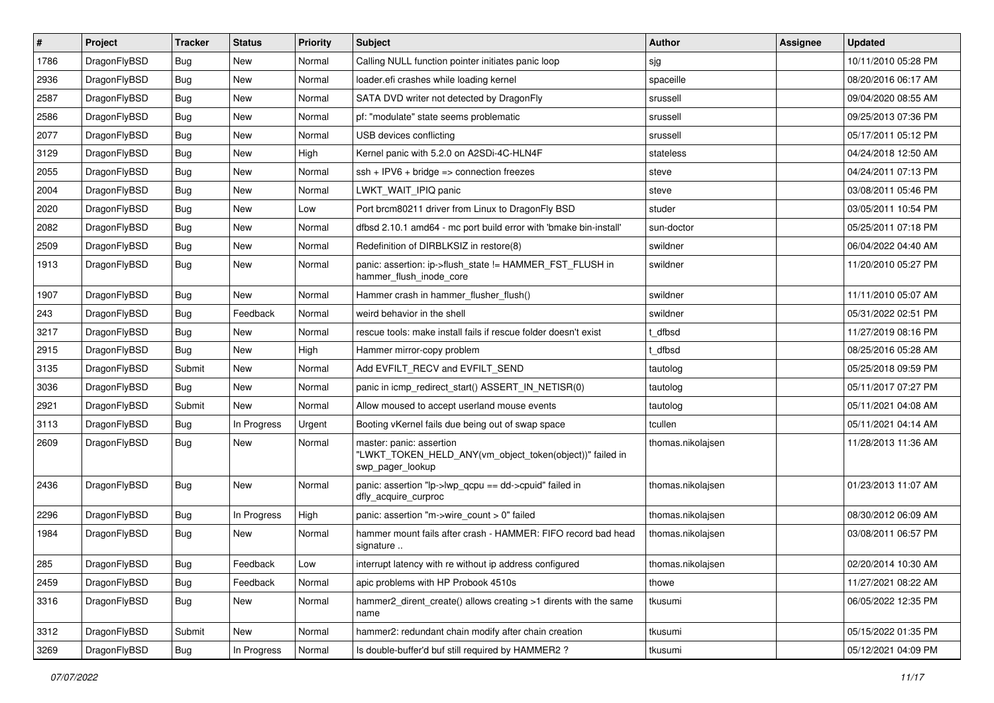| $\vert$ # | Project      | <b>Tracker</b> | <b>Status</b> | <b>Priority</b> | Subject                                                                                                  | Author            | Assignee | <b>Updated</b>      |
|-----------|--------------|----------------|---------------|-----------------|----------------------------------------------------------------------------------------------------------|-------------------|----------|---------------------|
| 1786      | DragonFlyBSD | <b>Bug</b>     | New           | Normal          | Calling NULL function pointer initiates panic loop                                                       | sjg               |          | 10/11/2010 05:28 PM |
| 2936      | DragonFlyBSD | Bug            | <b>New</b>    | Normal          | loader.efi crashes while loading kernel                                                                  | spaceille         |          | 08/20/2016 06:17 AM |
| 2587      | DragonFlyBSD | <b>Bug</b>     | New           | Normal          | SATA DVD writer not detected by DragonFly                                                                | srussell          |          | 09/04/2020 08:55 AM |
| 2586      | DragonFlyBSD | Bug            | New           | Normal          | pf: "modulate" state seems problematic                                                                   | srussell          |          | 09/25/2013 07:36 PM |
| 2077      | DragonFlyBSD | <b>Bug</b>     | <b>New</b>    | Normal          | USB devices conflicting                                                                                  | srussell          |          | 05/17/2011 05:12 PM |
| 3129      | DragonFlyBSD | <b>Bug</b>     | New           | High            | Kernel panic with 5.2.0 on A2SDi-4C-HLN4F                                                                | stateless         |          | 04/24/2018 12:50 AM |
| 2055      | DragonFlyBSD | Bug            | <b>New</b>    | Normal          | $ssh + IPV6 + bridge \Rightarrow connection freezes$                                                     | steve             |          | 04/24/2011 07:13 PM |
| 2004      | DragonFlyBSD | <b>Bug</b>     | <b>New</b>    | Normal          | LWKT WAIT IPIQ panic                                                                                     | steve             |          | 03/08/2011 05:46 PM |
| 2020      | DragonFlyBSD | Bug            | New           | Low             | Port brcm80211 driver from Linux to DragonFly BSD                                                        | studer            |          | 03/05/2011 10:54 PM |
| 2082      | DragonFlyBSD | <b>Bug</b>     | <b>New</b>    | Normal          | dfbsd 2.10.1 amd64 - mc port build error with 'bmake bin-install'                                        | sun-doctor        |          | 05/25/2011 07:18 PM |
| 2509      | DragonFlyBSD | <b>Bug</b>     | New           | Normal          | Redefinition of DIRBLKSIZ in restore(8)                                                                  | swildner          |          | 06/04/2022 04:40 AM |
| 1913      | DragonFlyBSD | Bug            | <b>New</b>    | Normal          | panic: assertion: ip->flush_state != HAMMER_FST_FLUSH in<br>hammer_flush_inode_core                      | swildner          |          | 11/20/2010 05:27 PM |
| 1907      | DragonFlyBSD | Bug            | New           | Normal          | Hammer crash in hammer flusher flush()                                                                   | swildner          |          | 11/11/2010 05:07 AM |
| 243       | DragonFlyBSD | <b>Bug</b>     | Feedback      | Normal          | weird behavior in the shell                                                                              | swildner          |          | 05/31/2022 02:51 PM |
| 3217      | DragonFlyBSD | <b>Bug</b>     | New           | Normal          | rescue tools: make install fails if rescue folder doesn't exist                                          | t dfbsd           |          | 11/27/2019 08:16 PM |
| 2915      | DragonFlyBSD | Bug            | New           | High            | Hammer mirror-copy problem                                                                               | t dfbsd           |          | 08/25/2016 05:28 AM |
| 3135      | DragonFlyBSD | Submit         | New           | Normal          | Add EVFILT RECV and EVFILT SEND                                                                          | tautolog          |          | 05/25/2018 09:59 PM |
| 3036      | DragonFlyBSD | <b>Bug</b>     | New           | Normal          | panic in icmp redirect start() ASSERT IN NETISR(0)                                                       | tautolog          |          | 05/11/2017 07:27 PM |
| 2921      | DragonFlyBSD | Submit         | <b>New</b>    | Normal          | Allow moused to accept userland mouse events                                                             | tautolog          |          | 05/11/2021 04:08 AM |
| 3113      | DragonFlyBSD | <b>Bug</b>     | In Progress   | Urgent          | Booting vKernel fails due being out of swap space                                                        | tcullen           |          | 05/11/2021 04:14 AM |
| 2609      | DragonFlyBSD | Bug            | New           | Normal          | master: panic: assertion<br>"LWKT_TOKEN_HELD_ANY(vm_object_token(object))" failed in<br>swp_pager_lookup | thomas.nikolajsen |          | 11/28/2013 11:36 AM |
| 2436      | DragonFlyBSD | Bug            | New           | Normal          | panic: assertion "lp->lwp_qcpu == dd->cpuid" failed in<br>dfly_acquire_curproc                           | thomas.nikolajsen |          | 01/23/2013 11:07 AM |
| 2296      | DragonFlyBSD | Bug            | In Progress   | High            | panic: assertion "m->wire count > 0" failed                                                              | thomas.nikolaisen |          | 08/30/2012 06:09 AM |
| 1984      | DragonFlyBSD | Bug            | New           | Normal          | hammer mount fails after crash - HAMMER: FIFO record bad head<br>signature                               | thomas.nikolajsen |          | 03/08/2011 06:57 PM |
| 285       | DragonFlyBSD | <b>Bug</b>     | Feedback      | Low             | interrupt latency with re without ip address configured                                                  | thomas.nikolajsen |          | 02/20/2014 10:30 AM |
| 2459      | DragonFlyBSD | <b>Bug</b>     | Feedback      | Normal          | apic problems with HP Probook 4510s                                                                      | thowe             |          | 11/27/2021 08:22 AM |
| 3316      | DragonFlyBSD | <b>Bug</b>     | New           | Normal          | hammer2 dirent create() allows creating >1 dirents with the same<br>name                                 | tkusumi           |          | 06/05/2022 12:35 PM |
| 3312      | DragonFlyBSD | Submit         | New           | Normal          | hammer2: redundant chain modify after chain creation                                                     | tkusumi           |          | 05/15/2022 01:35 PM |
| 3269      | DragonFlyBSD | Bug            | In Progress   | Normal          | Is double-buffer'd buf still required by HAMMER2?                                                        | tkusumi           |          | 05/12/2021 04:09 PM |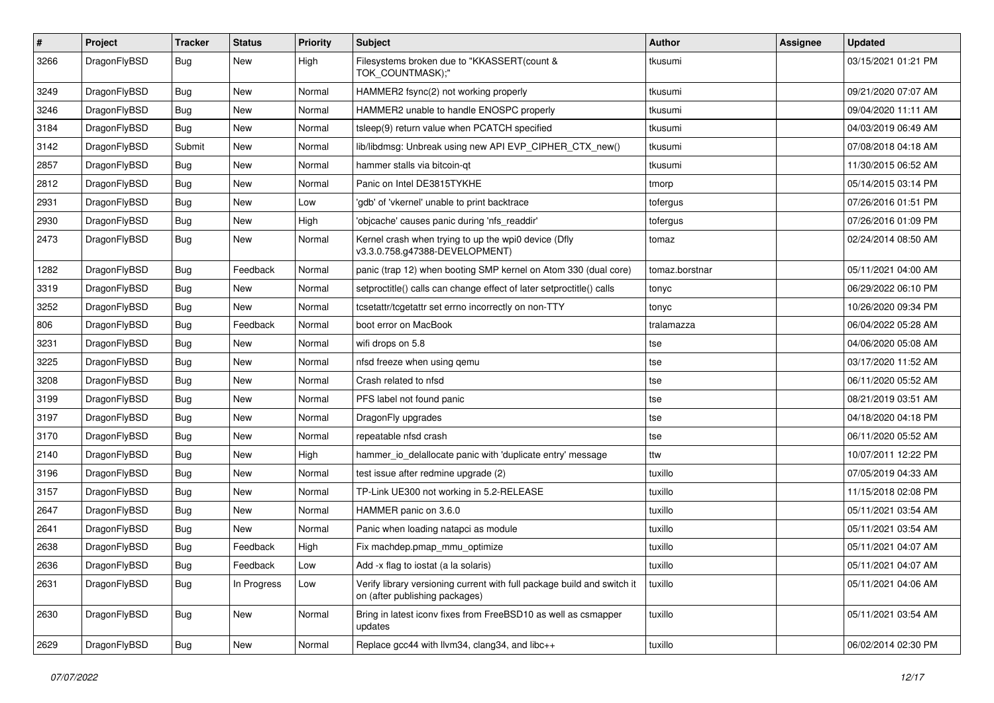| #    | Project      | <b>Tracker</b> | <b>Status</b> | <b>Priority</b> | Subject                                                                                                   | Author         | <b>Assignee</b> | <b>Updated</b>      |
|------|--------------|----------------|---------------|-----------------|-----------------------------------------------------------------------------------------------------------|----------------|-----------------|---------------------|
| 3266 | DragonFlyBSD | Bug            | New           | High            | Filesystems broken due to "KKASSERT(count &<br>TOK_COUNTMASK);"                                           | tkusumi        |                 | 03/15/2021 01:21 PM |
| 3249 | DragonFlyBSD | <b>Bug</b>     | <b>New</b>    | Normal          | HAMMER2 fsync(2) not working properly                                                                     | tkusumi        |                 | 09/21/2020 07:07 AM |
| 3246 | DragonFlyBSD | Bug            | <b>New</b>    | Normal          | HAMMER2 unable to handle ENOSPC properly                                                                  | tkusumi        |                 | 09/04/2020 11:11 AM |
| 3184 | DragonFlyBSD | Bug            | <b>New</b>    | Normal          | tsleep(9) return value when PCATCH specified                                                              | tkusumi        |                 | 04/03/2019 06:49 AM |
| 3142 | DragonFlyBSD | Submit         | New           | Normal          | lib/libdmsg: Unbreak using new API EVP_CIPHER_CTX_new()                                                   | tkusumi        |                 | 07/08/2018 04:18 AM |
| 2857 | DragonFlyBSD | Bug            | <b>New</b>    | Normal          | hammer stalls via bitcoin-qt                                                                              | tkusumi        |                 | 11/30/2015 06:52 AM |
| 2812 | DragonFlyBSD | <b>Bug</b>     | <b>New</b>    | Normal          | Panic on Intel DE3815TYKHE                                                                                | tmorp          |                 | 05/14/2015 03:14 PM |
| 2931 | DragonFlyBSD | Bug            | <b>New</b>    | Low             | 'gdb' of 'vkernel' unable to print backtrace                                                              | tofergus       |                 | 07/26/2016 01:51 PM |
| 2930 | DragonFlyBSD | <b>Bug</b>     | <b>New</b>    | High            | 'objcache' causes panic during 'nfs_readdir'                                                              | tofergus       |                 | 07/26/2016 01:09 PM |
| 2473 | DragonFlyBSD | Bug            | New           | Normal          | Kernel crash when trying to up the wpi0 device (Dfly<br>v3.3.0.758.g47388-DEVELOPMENT)                    | tomaz          |                 | 02/24/2014 08:50 AM |
| 1282 | DragonFlyBSD | Bug            | Feedback      | Normal          | panic (trap 12) when booting SMP kernel on Atom 330 (dual core)                                           | tomaz.borstnar |                 | 05/11/2021 04:00 AM |
| 3319 | DragonFlyBSD | Bug            | <b>New</b>    | Normal          | setproctitle() calls can change effect of later setproctitle() calls                                      | tonyc          |                 | 06/29/2022 06:10 PM |
| 3252 | DragonFlyBSD | Bug            | New           | Normal          | tcsetattr/tcgetattr set errno incorrectly on non-TTY                                                      | tonyc          |                 | 10/26/2020 09:34 PM |
| 806  | DragonFlyBSD | <b>Bug</b>     | Feedback      | Normal          | boot error on MacBook                                                                                     | tralamazza     |                 | 06/04/2022 05:28 AM |
| 3231 | DragonFlyBSD | Bug            | <b>New</b>    | Normal          | wifi drops on 5.8                                                                                         | tse            |                 | 04/06/2020 05:08 AM |
| 3225 | DragonFlyBSD | Bug            | <b>New</b>    | Normal          | nfsd freeze when using gemu                                                                               | tse            |                 | 03/17/2020 11:52 AM |
| 3208 | DragonFlyBSD | <b>Bug</b>     | New           | Normal          | Crash related to nfsd                                                                                     | tse            |                 | 06/11/2020 05:52 AM |
| 3199 | DragonFlyBSD | Bug            | <b>New</b>    | Normal          | PFS label not found panic                                                                                 | tse            |                 | 08/21/2019 03:51 AM |
| 3197 | DragonFlyBSD | Bug            | New           | Normal          | DragonFly upgrades                                                                                        | tse            |                 | 04/18/2020 04:18 PM |
| 3170 | DragonFlyBSD | <b>Bug</b>     | New           | Normal          | repeatable nfsd crash                                                                                     | tse            |                 | 06/11/2020 05:52 AM |
| 2140 | DragonFlyBSD | Bug            | <b>New</b>    | High            | hammer_io_delallocate panic with 'duplicate entry' message                                                | ttw            |                 | 10/07/2011 12:22 PM |
| 3196 | DragonFlyBSD | <b>Bug</b>     | New           | Normal          | test issue after redmine upgrade (2)                                                                      | tuxillo        |                 | 07/05/2019 04:33 AM |
| 3157 | DragonFlyBSD | Bug            | <b>New</b>    | Normal          | TP-Link UE300 not working in 5.2-RELEASE                                                                  | tuxillo        |                 | 11/15/2018 02:08 PM |
| 2647 | DragonFlyBSD | Bug            | <b>New</b>    | Normal          | HAMMER panic on 3.6.0                                                                                     | tuxillo        |                 | 05/11/2021 03:54 AM |
| 2641 | DragonFlyBSD | Bug            | <b>New</b>    | Normal          | Panic when loading natapci as module                                                                      | tuxillo        |                 | 05/11/2021 03:54 AM |
| 2638 | DragonFlyBSD | <b>Bug</b>     | Feedback      | High            | Fix machdep.pmap_mmu_optimize                                                                             | tuxillo        |                 | 05/11/2021 04:07 AM |
| 2636 | DragonFlyBSD | Bug            | Feedback      | Low             | Add -x flag to iostat (a la solaris)                                                                      | tuxillo        |                 | 05/11/2021 04:07 AM |
| 2631 | DragonFlyBSD | <b>Bug</b>     | In Progress   | Low             | Verify library versioning current with full package build and switch it<br>on (after publishing packages) | tuxillo        |                 | 05/11/2021 04:06 AM |
| 2630 | DragonFlyBSD | <b>Bug</b>     | New           | Normal          | Bring in latest iconv fixes from FreeBSD10 as well as csmapper<br>updates                                 | tuxillo        |                 | 05/11/2021 03:54 AM |
| 2629 | DragonFlyBSD | <b>Bug</b>     | New           | Normal          | Replace gcc44 with llvm34, clang34, and libc++                                                            | tuxillo        |                 | 06/02/2014 02:30 PM |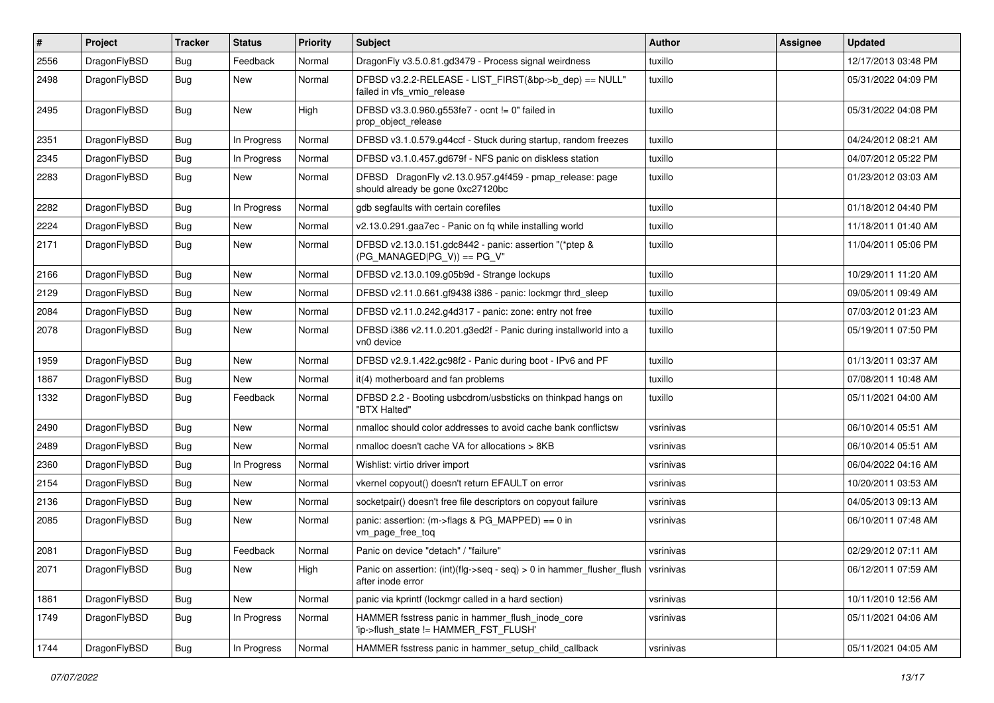| #    | Project      | <b>Tracker</b> | <b>Status</b> | <b>Priority</b> | Subject                                                                                                                                  | Author    | Assignee | <b>Updated</b>      |
|------|--------------|----------------|---------------|-----------------|------------------------------------------------------------------------------------------------------------------------------------------|-----------|----------|---------------------|
| 2556 | DragonFlyBSD | Bug            | Feedback      | Normal          | DragonFly v3.5.0.81.gd3479 - Process signal weirdness                                                                                    | tuxillo   |          | 12/17/2013 03:48 PM |
| 2498 | DragonFlyBSD | Bug            | New           | Normal          | DFBSD v3.2.2-RELEASE - LIST_FIRST(&bp->b_dep) == NULL"<br>failed in vfs_vmio_release                                                     | tuxillo   |          | 05/31/2022 04:09 PM |
| 2495 | DragonFlyBSD | Bug            | <b>New</b>    | High            | DFBSD v3.3.0.960.g553fe7 - ocnt != 0" failed in<br>prop_object_release                                                                   | tuxillo   |          | 05/31/2022 04:08 PM |
| 2351 | DragonFlyBSD | <b>Bug</b>     | In Progress   | Normal          | DFBSD v3.1.0.579.g44ccf - Stuck during startup, random freezes                                                                           | tuxillo   |          | 04/24/2012 08:21 AM |
| 2345 | DragonFlyBSD | Bug            | In Progress   | Normal          | DFBSD v3.1.0.457.gd679f - NFS panic on diskless station                                                                                  | tuxillo   |          | 04/07/2012 05:22 PM |
| 2283 | DragonFlyBSD | Bug            | New           | Normal          | DFBSD DragonFly v2.13.0.957.g4f459 - pmap_release: page<br>should already be gone 0xc27120bc                                             | tuxillo   |          | 01/23/2012 03:03 AM |
| 2282 | DragonFlyBSD | Bug            | In Progress   | Normal          | gdb segfaults with certain corefiles                                                                                                     | tuxillo   |          | 01/18/2012 04:40 PM |
| 2224 | DragonFlyBSD | <b>Bug</b>     | New           | Normal          | v2.13.0.291.gaa7ec - Panic on fq while installing world                                                                                  | tuxillo   |          | 11/18/2011 01:40 AM |
| 2171 | DragonFlyBSD | Bug            | New           | Normal          | DFBSD v2.13.0.151.gdc8442 - panic: assertion "(*ptep &<br>$(PG_MANAGED PG_V)) == PG_V"$                                                  | tuxillo   |          | 11/04/2011 05:06 PM |
| 2166 | DragonFlyBSD | Bug            | <b>New</b>    | Normal          | DFBSD v2.13.0.109.g05b9d - Strange lockups                                                                                               | tuxillo   |          | 10/29/2011 11:20 AM |
| 2129 | DragonFlyBSD | Bug            | <b>New</b>    | Normal          | DFBSD v2.11.0.661.gf9438 i386 - panic: lockmgr thrd sleep                                                                                | tuxillo   |          | 09/05/2011 09:49 AM |
| 2084 | DragonFlyBSD | <b>Bug</b>     | New           | Normal          | DFBSD v2.11.0.242.g4d317 - panic: zone: entry not free                                                                                   | tuxillo   |          | 07/03/2012 01:23 AM |
| 2078 | DragonFlyBSD | Bug            | New           | Normal          | DFBSD i386 v2.11.0.201.g3ed2f - Panic during installworld into a<br>vn0 device                                                           | tuxillo   |          | 05/19/2011 07:50 PM |
| 1959 | DragonFlyBSD | <b>Bug</b>     | <b>New</b>    | Normal          | DFBSD v2.9.1.422.gc98f2 - Panic during boot - IPv6 and PF                                                                                | tuxillo   |          | 01/13/2011 03:37 AM |
| 1867 | DragonFlyBSD | Bug            | New           | Normal          | it(4) motherboard and fan problems                                                                                                       | tuxillo   |          | 07/08/2011 10:48 AM |
| 1332 | DragonFlyBSD | Bug            | Feedback      | Normal          | DFBSD 2.2 - Booting usbcdrom/usbsticks on thinkpad hangs on<br>"BTX Halted"                                                              | tuxillo   |          | 05/11/2021 04:00 AM |
| 2490 | DragonFlyBSD | Bug            | <b>New</b>    | Normal          | nmalloc should color addresses to avoid cache bank conflictsw                                                                            | vsrinivas |          | 06/10/2014 05:51 AM |
| 2489 | DragonFlyBSD | <b>Bug</b>     | New           | Normal          | nmalloc doesn't cache VA for allocations > 8KB                                                                                           | vsrinivas |          | 06/10/2014 05:51 AM |
| 2360 | DragonFlyBSD | Bug            | In Progress   | Normal          | Wishlist: virtio driver import                                                                                                           | vsrinivas |          | 06/04/2022 04:16 AM |
| 2154 | DragonFlyBSD | <b>Bug</b>     | New           | Normal          | vkernel copyout() doesn't return EFAULT on error                                                                                         | vsrinivas |          | 10/20/2011 03:53 AM |
| 2136 | DragonFlyBSD | <b>Bug</b>     | New           | Normal          | socketpair() doesn't free file descriptors on copyout failure                                                                            | vsrinivas |          | 04/05/2013 09:13 AM |
| 2085 | DragonFlyBSD | Bug            | New           | Normal          | panic: assertion: (m->flags & PG_MAPPED) == 0 in<br>vm_page_free_toq                                                                     | vsrinivas |          | 06/10/2011 07:48 AM |
| 2081 | DragonFlyBSD | <b>Bug</b>     | Feedback      | Normal          | Panic on device "detach" / "failure"                                                                                                     | vsrinivas |          | 02/29/2012 07:11 AM |
| 2071 | DragonFlyBSD | <b>Bug</b>     | New           | High            | Panic on assertion: $(int)(\text{flg}\text{-}\text{seq}\text{-}\text{seq})$ > 0 in hammer_flusher_flush   vsrinivas<br>after inode error |           |          | 06/12/2011 07:59 AM |
| 1861 | DragonFlyBSD | <b>Bug</b>     | New           | Normal          | panic via kprintf (lockmgr called in a hard section)                                                                                     | vsrinivas |          | 10/11/2010 12:56 AM |
| 1749 | DragonFlyBSD | Bug            | In Progress   | Normal          | HAMMER fsstress panic in hammer flush inode core<br>'ip->flush_state != HAMMER_FST_FLUSH'                                                | vsrinivas |          | 05/11/2021 04:06 AM |
| 1744 | DragonFlyBSD | <b>Bug</b>     | In Progress   | Normal          | HAMMER fsstress panic in hammer setup child callback                                                                                     | vsrinivas |          | 05/11/2021 04:05 AM |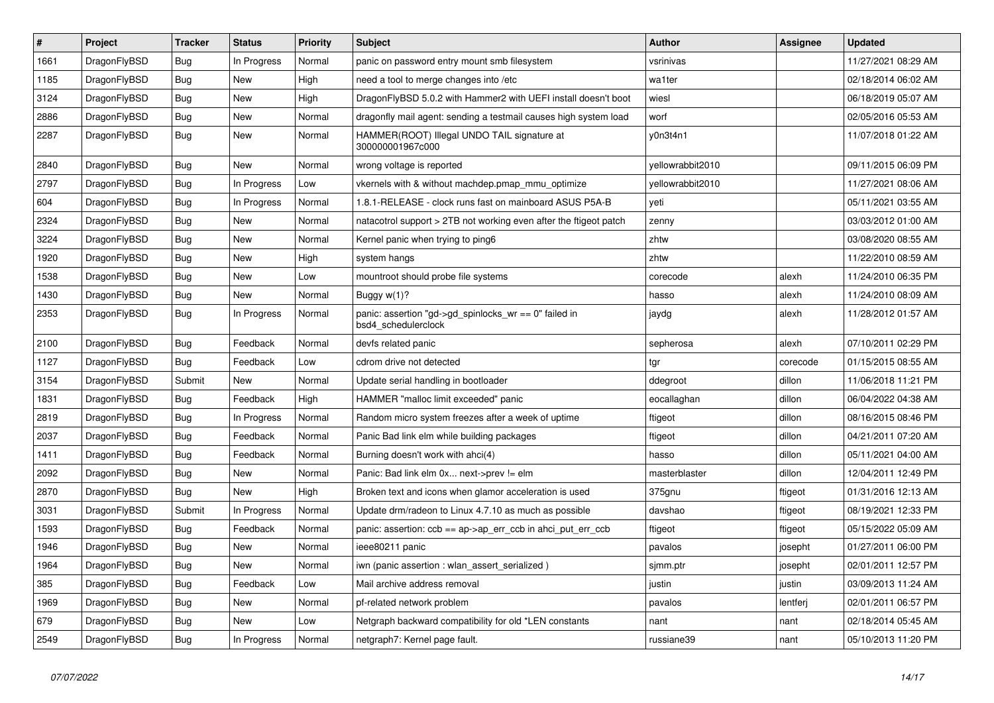| $\vert$ # | Project      | <b>Tracker</b> | <b>Status</b> | <b>Priority</b> | <b>Subject</b>                                                               | <b>Author</b>    | Assignee | Updated             |
|-----------|--------------|----------------|---------------|-----------------|------------------------------------------------------------------------------|------------------|----------|---------------------|
| 1661      | DragonFlyBSD | Bug            | In Progress   | Normal          | panic on password entry mount smb filesystem                                 | vsrinivas        |          | 11/27/2021 08:29 AM |
| 1185      | DragonFlyBSD | Bug            | <b>New</b>    | High            | need a tool to merge changes into /etc                                       | wa1ter           |          | 02/18/2014 06:02 AM |
| 3124      | DragonFlyBSD | <b>Bug</b>     | <b>New</b>    | High            | DragonFlyBSD 5.0.2 with Hammer2 with UEFI install doesn't boot               | wiesl            |          | 06/18/2019 05:07 AM |
| 2886      | DragonFlyBSD | Bug            | <b>New</b>    | Normal          | dragonfly mail agent: sending a testmail causes high system load             | worf             |          | 02/05/2016 05:53 AM |
| 2287      | DragonFlyBSD | <b>Bug</b>     | <b>New</b>    | Normal          | HAMMER(ROOT) Illegal UNDO TAIL signature at<br>300000001967c000              | y0n3t4n1         |          | 11/07/2018 01:22 AM |
| 2840      | DragonFlyBSD | Bug            | <b>New</b>    | Normal          | wrong voltage is reported                                                    | vellowrabbit2010 |          | 09/11/2015 06:09 PM |
| 2797      | DragonFlyBSD | Bug            | In Progress   | Low             | vkernels with & without machdep.pmap mmu optimize                            | vellowrabbit2010 |          | 11/27/2021 08:06 AM |
| 604       | DragonFlyBSD | Bug            | In Progress   | Normal          | 1.8.1-RELEASE - clock runs fast on mainboard ASUS P5A-B                      | yeti             |          | 05/11/2021 03:55 AM |
| 2324      | DragonFlyBSD | <b>Bug</b>     | <b>New</b>    | Normal          | natacotrol support > 2TB not working even after the ftigeot patch            | zenny            |          | 03/03/2012 01:00 AM |
| 3224      | DragonFlyBSD | <b>Bug</b>     | <b>New</b>    | Normal          | Kernel panic when trying to ping6                                            | zhtw             |          | 03/08/2020 08:55 AM |
| 1920      | DragonFlyBSD | <b>Bug</b>     | <b>New</b>    | High            | system hangs                                                                 | zhtw             |          | 11/22/2010 08:59 AM |
| 1538      | DragonFlyBSD | <b>Bug</b>     | <b>New</b>    | Low             | mountroot should probe file systems                                          | corecode         | alexh    | 11/24/2010 06:35 PM |
| 1430      | DragonFlyBSD | Bug            | <b>New</b>    | Normal          | Buggy w(1)?                                                                  | hasso            | alexh    | 11/24/2010 08:09 AM |
| 2353      | DragonFlyBSD | Bug            | In Progress   | Normal          | panic: assertion "gd->gd spinlocks wr == 0" failed in<br>bsd4 schedulerclock | jaydg            | alexh    | 11/28/2012 01:57 AM |
| 2100      | DragonFlyBSD | <b>Bug</b>     | Feedback      | Normal          | devfs related panic                                                          | sepherosa        | alexh    | 07/10/2011 02:29 PM |
| 1127      | DragonFlyBSD | <b>Bug</b>     | Feedback      | Low             | cdrom drive not detected                                                     | tgr              | corecode | 01/15/2015 08:55 AM |
| 3154      | DragonFlyBSD | Submit         | <b>New</b>    | Normal          | Update serial handling in bootloader                                         | ddegroot         | dillon   | 11/06/2018 11:21 PM |
| 1831      | DragonFlyBSD | <b>Bug</b>     | Feedback      | High            | HAMMER "malloc limit exceeded" panic                                         | eocallaghan      | dillon   | 06/04/2022 04:38 AM |
| 2819      | DragonFlyBSD | Bug            | In Progress   | Normal          | Random micro system freezes after a week of uptime                           | ftigeot          | dillon   | 08/16/2015 08:46 PM |
| 2037      | DragonFlyBSD | Bug            | Feedback      | Normal          | Panic Bad link elm while building packages                                   | ftigeot          | dillon   | 04/21/2011 07:20 AM |
| 1411      | DragonFlyBSD | <b>Bug</b>     | Feedback      | Normal          | Burning doesn't work with ahci(4)                                            | hasso            | dillon   | 05/11/2021 04:00 AM |
| 2092      | DragonFlyBSD | Bug            | <b>New</b>    | Normal          | Panic: Bad link elm 0x next->prev != elm                                     | masterblaster    | dillon   | 12/04/2011 12:49 PM |
| 2870      | DragonFlyBSD | <b>Bug</b>     | New           | High            | Broken text and icons when glamor acceleration is used                       | 375gnu           | ftigeot  | 01/31/2016 12:13 AM |
| 3031      | DragonFlyBSD | Submit         | In Progress   | Normal          | Update drm/radeon to Linux 4.7.10 as much as possible                        | davshao          | ftigeot  | 08/19/2021 12:33 PM |
| 1593      | DragonFlyBSD | Bug            | Feedback      | Normal          | panic: assertion: ccb == ap->ap_err_ccb in ahci_put_err_ccb                  | ftigeot          | ftigeot  | 05/15/2022 05:09 AM |
| 1946      | DragonFlyBSD | Bug            | <b>New</b>    | Normal          | ieee80211 panic                                                              | pavalos          | josepht  | 01/27/2011 06:00 PM |
| 1964      | DragonFlyBSD | Bug            | <b>New</b>    | Normal          | iwn (panic assertion : wlan assert serialized)                               | sjmm.ptr         | josepht  | 02/01/2011 12:57 PM |
| 385       | DragonFlyBSD | Bug            | Feedback      | Low             | Mail archive address removal                                                 | justin           | justin   | 03/09/2013 11:24 AM |
| 1969      | DragonFlyBSD | Bug            | <b>New</b>    | Normal          | pf-related network problem                                                   | pavalos          | lentferj | 02/01/2011 06:57 PM |
| 679       | DragonFlyBSD | <b>Bug</b>     | <b>New</b>    | Low             | Netgraph backward compatibility for old *LEN constants                       | nant             | nant     | 02/18/2014 05:45 AM |
| 2549      | DragonFlyBSD | Bug            | In Progress   | Normal          | netgraph7: Kernel page fault.                                                | russiane39       | nant     | 05/10/2013 11:20 PM |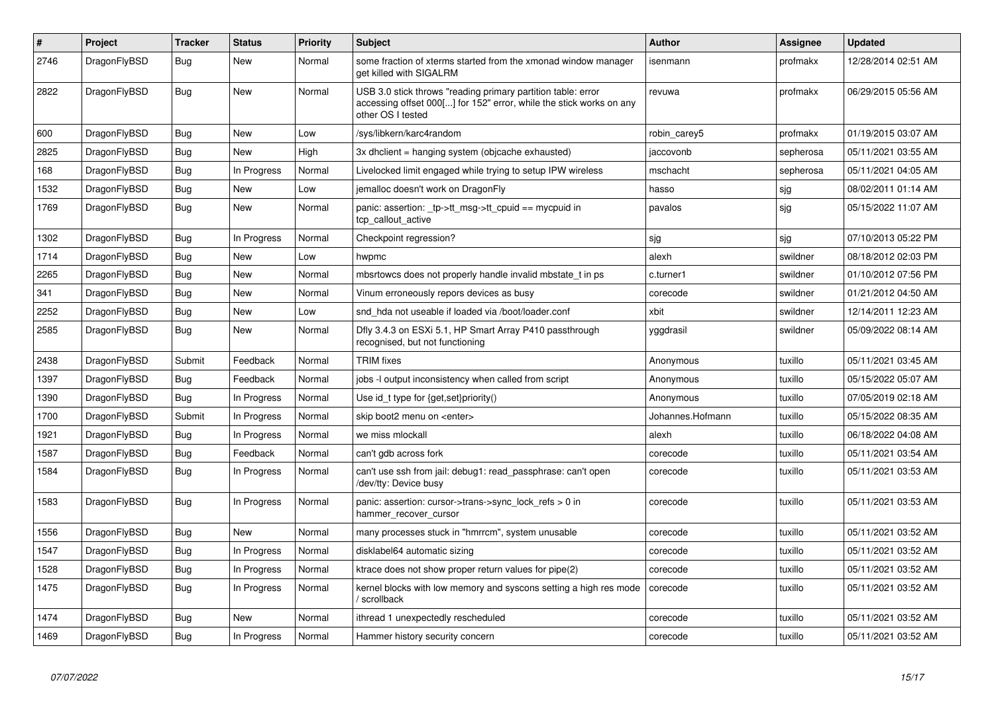| $\vert$ # | <b>Project</b> | <b>Tracker</b> | <b>Status</b> | <b>Priority</b> | <b>Subject</b>                                                                                                                                           | <b>Author</b>    | Assignee  | Updated             |
|-----------|----------------|----------------|---------------|-----------------|----------------------------------------------------------------------------------------------------------------------------------------------------------|------------------|-----------|---------------------|
| 2746      | DragonFlyBSD   | Bug            | <b>New</b>    | Normal          | some fraction of xterms started from the xmonad window manager<br>get killed with SIGALRM                                                                | isenmann         | profmakx  | 12/28/2014 02:51 AM |
| 2822      | DragonFlyBSD   | Bug            | <b>New</b>    | Normal          | USB 3.0 stick throws "reading primary partition table: error<br>accessing offset 000[] for 152" error, while the stick works on any<br>other OS I tested | revuwa           | profmakx  | 06/29/2015 05:56 AM |
| 600       | DragonFlyBSD   | Bug            | New           | Low             | /sys/libkern/karc4random                                                                                                                                 | robin carey5     | profmakx  | 01/19/2015 03:07 AM |
| 2825      | DragonFlyBSD   | <b>Bug</b>     | New           | High            | 3x dhclient = hanging system (objcache exhausted)                                                                                                        | jaccovonb        | sepherosa | 05/11/2021 03:55 AM |
| 168       | DragonFlyBSD   | <b>Bug</b>     | In Progress   | Normal          | Livelocked limit engaged while trying to setup IPW wireless                                                                                              | mschacht         | sepherosa | 05/11/2021 04:05 AM |
| 1532      | DragonFlyBSD   | Bug            | New           | Low             | jemalloc doesn't work on DragonFly                                                                                                                       | hasso            | sjg       | 08/02/2011 01:14 AM |
| 1769      | DragonFlyBSD   | <b>Bug</b>     | New           | Normal          | panic: assertion: _tp->tt_msg->tt_cpuid == mycpuid in<br>tcp_callout_active                                                                              | pavalos          | sjg       | 05/15/2022 11:07 AM |
| 1302      | DragonFlyBSD   | Bug            | In Progress   | Normal          | Checkpoint regression?                                                                                                                                   | sjg              | sjg       | 07/10/2013 05:22 PM |
| 1714      | DragonFlyBSD   | Bug            | New           | Low             | hwpmc                                                                                                                                                    | alexh            | swildner  | 08/18/2012 02:03 PM |
| 2265      | DragonFlyBSD   | <b>Bug</b>     | <b>New</b>    | Normal          | mbsrtowcs does not properly handle invalid mbstate t in ps                                                                                               | c.turner1        | swildner  | 01/10/2012 07:56 PM |
| 341       | DragonFlyBSD   | Bug            | <b>New</b>    | Normal          | Vinum erroneously repors devices as busy                                                                                                                 | corecode         | swildner  | 01/21/2012 04:50 AM |
| 2252      | DragonFlyBSD   | <b>Bug</b>     | <b>New</b>    | Low             | snd hda not useable if loaded via /boot/loader.conf                                                                                                      | xbit             | swildner  | 12/14/2011 12:23 AM |
| 2585      | DragonFlyBSD   | <b>Bug</b>     | <b>New</b>    | Normal          | Dfly 3.4.3 on ESXi 5.1, HP Smart Array P410 passthrough<br>recognised, but not functioning                                                               | yggdrasil        | swildner  | 05/09/2022 08:14 AM |
| 2438      | DragonFlyBSD   | Submit         | Feedback      | Normal          | <b>TRIM</b> fixes                                                                                                                                        | Anonymous        | tuxillo   | 05/11/2021 03:45 AM |
| 1397      | DragonFlyBSD   | Bug            | Feedback      | Normal          | jobs -I output inconsistency when called from script                                                                                                     | Anonymous        | tuxillo   | 05/15/2022 05:07 AM |
| 1390      | DragonFlyBSD   | Bug            | In Progress   | Normal          | Use id t type for $\{get, set\}$ priority $()$                                                                                                           | Anonymous        | tuxillo   | 07/05/2019 02:18 AM |
| 1700      | DragonFlyBSD   | Submit         | In Progress   | Normal          | skip boot2 menu on <enter></enter>                                                                                                                       | Johannes.Hofmann | tuxillo   | 05/15/2022 08:35 AM |
| 1921      | DragonFlyBSD   | <b>Bug</b>     | In Progress   | Normal          | we miss mlockall                                                                                                                                         | alexh            | tuxillo   | 06/18/2022 04:08 AM |
| 1587      | DragonFlyBSD   | Bug            | Feedback      | Normal          | can't gdb across fork                                                                                                                                    | corecode         | tuxillo   | 05/11/2021 03:54 AM |
| 1584      | DragonFlyBSD   | Bug            | In Progress   | Normal          | can't use ssh from jail: debug1: read passphrase: can't open<br>/dev/tty: Device busy                                                                    | corecode         | tuxillo   | 05/11/2021 03:53 AM |
| 1583      | DragonFlyBSD   | <b>Bug</b>     | In Progress   | Normal          | panic: assertion: cursor->trans->sync_lock_refs > 0 in<br>hammer_recover_cursor                                                                          | corecode         | tuxillo   | 05/11/2021 03:53 AM |
| 1556      | DragonFlyBSD   | <b>Bug</b>     | <b>New</b>    | Normal          | many processes stuck in "hmrrcm", system unusable                                                                                                        | corecode         | tuxillo   | 05/11/2021 03:52 AM |
| 1547      | DragonFlyBSD   | Bug            | In Progress   | Normal          | disklabel64 automatic sizing                                                                                                                             | corecode         | tuxillo   | 05/11/2021 03:52 AM |
| 1528      | DragonFlyBSD   | Bug            | In Progress   | Normal          | ktrace does not show proper return values for pipe(2)                                                                                                    | corecode         | tuxillo   | 05/11/2021 03:52 AM |
| 1475      | DragonFlyBSD   | <b>Bug</b>     | In Progress   | Normal          | kernel blocks with low memory and syscons setting a high res mode<br>/ scrollback                                                                        | corecode         | tuxillo   | 05/11/2021 03:52 AM |
| 1474      | DragonFlyBSD   | Bug            | New           | Normal          | ithread 1 unexpectedly rescheduled                                                                                                                       | corecode         | tuxillo   | 05/11/2021 03:52 AM |
| 1469      | DragonFlyBSD   | <b>Bug</b>     | In Progress   | Normal          | Hammer history security concern                                                                                                                          | corecode         | tuxillo   | 05/11/2021 03:52 AM |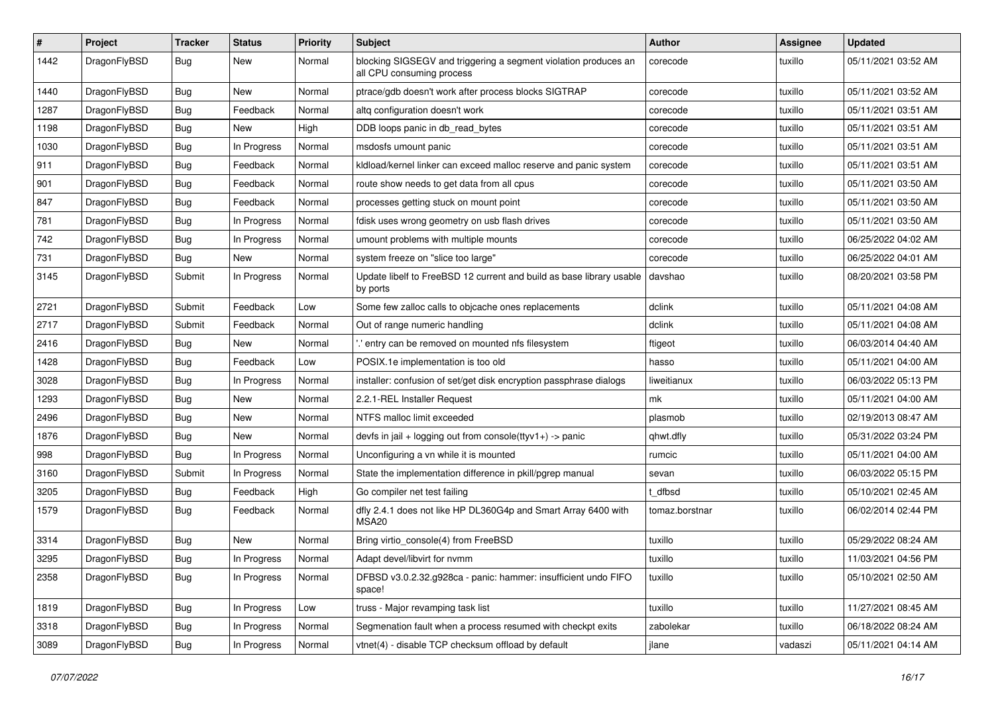| $\#$ | Project      | <b>Tracker</b> | <b>Status</b> | <b>Priority</b> | Subject                                                                                      | <b>Author</b>  | Assignee | <b>Updated</b>      |
|------|--------------|----------------|---------------|-----------------|----------------------------------------------------------------------------------------------|----------------|----------|---------------------|
| 1442 | DragonFlyBSD | Bug            | New           | Normal          | blocking SIGSEGV and triggering a segment violation produces an<br>all CPU consuming process | corecode       | tuxillo  | 05/11/2021 03:52 AM |
| 1440 | DragonFlyBSD | Bug            | New           | Normal          | ptrace/gdb doesn't work after process blocks SIGTRAP                                         | corecode       | tuxillo  | 05/11/2021 03:52 AM |
| 1287 | DragonFlyBSD | <b>Bug</b>     | Feedback      | Normal          | altg configuration doesn't work                                                              | corecode       | tuxillo  | 05/11/2021 03:51 AM |
| 1198 | DragonFlyBSD | Bug            | New           | High            | DDB loops panic in db_read_bytes                                                             | corecode       | tuxillo  | 05/11/2021 03:51 AM |
| 1030 | DragonFlyBSD | Bug            | In Progress   | Normal          | msdosfs umount panic                                                                         | corecode       | tuxillo  | 05/11/2021 03:51 AM |
| 911  | DragonFlyBSD | Bug            | Feedback      | Normal          | kidload/kernel linker can exceed malloc reserve and panic system                             | corecode       | tuxillo  | 05/11/2021 03:51 AM |
| 901  | DragonFlyBSD | <b>Bug</b>     | Feedback      | Normal          | route show needs to get data from all cpus                                                   | corecode       | tuxillo  | 05/11/2021 03:50 AM |
| 847  | DragonFlyBSD | <b>Bug</b>     | Feedback      | Normal          | processes getting stuck on mount point                                                       | corecode       | tuxillo  | 05/11/2021 03:50 AM |
| 781  | DragonFlyBSD | Bug            | In Progress   | Normal          | fdisk uses wrong geometry on usb flash drives                                                | corecode       | tuxillo  | 05/11/2021 03:50 AM |
| 742  | DragonFlyBSD | <b>Bug</b>     | In Progress   | Normal          | umount problems with multiple mounts                                                         | corecode       | tuxillo  | 06/25/2022 04:02 AM |
| 731  | DragonFlyBSD | Bug            | New           | Normal          | system freeze on "slice too large"                                                           | corecode       | tuxillo  | 06/25/2022 04:01 AM |
| 3145 | DragonFlyBSD | Submit         | In Progress   | Normal          | Update libelf to FreeBSD 12 current and build as base library usable<br>by ports             | davshao        | tuxillo  | 08/20/2021 03:58 PM |
| 2721 | DragonFlyBSD | Submit         | Feedback      | Low             | Some few zalloc calls to objcache ones replacements                                          | dclink         | tuxillo  | 05/11/2021 04:08 AM |
| 2717 | DragonFlyBSD | Submit         | Feedback      | Normal          | Out of range numeric handling                                                                | dclink         | tuxillo  | 05/11/2021 04:08 AM |
| 2416 | DragonFlyBSD | Bug            | New           | Normal          | ".' entry can be removed on mounted nfs filesystem                                           | ftigeot        | tuxillo  | 06/03/2014 04:40 AM |
| 1428 | DragonFlyBSD | Bug            | Feedback      | Low             | POSIX.1e implementation is too old                                                           | hasso          | tuxillo  | 05/11/2021 04:00 AM |
| 3028 | DragonFlyBSD | <b>Bug</b>     | In Progress   | Normal          | installer: confusion of set/get disk encryption passphrase dialogs                           | liweitianux    | tuxillo  | 06/03/2022 05:13 PM |
| 1293 | DragonFlyBSD | Bug            | New           | Normal          | 2.2.1-REL Installer Request                                                                  | mk             | tuxillo  | 05/11/2021 04:00 AM |
| 2496 | DragonFlyBSD | Bug            | <b>New</b>    | Normal          | NTFS malloc limit exceeded                                                                   | plasmob        | tuxillo  | 02/19/2013 08:47 AM |
| 1876 | DragonFlyBSD | <b>Bug</b>     | New           | Normal          | devfs in jail + logging out from console(ttyv1+) -> panic                                    | qhwt.dfly      | tuxillo  | 05/31/2022 03:24 PM |
| 998  | DragonFlyBSD | <b>Bug</b>     | In Progress   | Normal          | Unconfiguring a vn while it is mounted                                                       | rumcic         | tuxillo  | 05/11/2021 04:00 AM |
| 3160 | DragonFlyBSD | Submit         | In Progress   | Normal          | State the implementation difference in pkill/pgrep manual                                    | sevan          | tuxillo  | 06/03/2022 05:15 PM |
| 3205 | DragonFlyBSD | Bug            | Feedback      | High            | Go compiler net test failing                                                                 | t dfbsd        | tuxillo  | 05/10/2021 02:45 AM |
| 1579 | DragonFlyBSD | Bug            | Feedback      | Normal          | dfly 2.4.1 does not like HP DL360G4p and Smart Array 6400 with<br>MSA <sub>20</sub>          | tomaz.borstnar | tuxillo  | 06/02/2014 02:44 PM |
| 3314 | DragonFlyBSD | Bug            | New           | Normal          | Bring virtio_console(4) from FreeBSD                                                         | tuxillo        | tuxillo  | 05/29/2022 08:24 AM |
| 3295 | DragonFlyBSD | Bug            | In Progress   | Normal          | Adapt devel/libvirt for nvmm                                                                 | tuxillo        | tuxillo  | 11/03/2021 04:56 PM |
| 2358 | DragonFlyBSD | <b>Bug</b>     | In Progress   | Normal          | DFBSD v3.0.2.32.g928ca - panic: hammer: insufficient undo FIFO<br>space!                     | tuxillo        | tuxillo  | 05/10/2021 02:50 AM |
| 1819 | DragonFlyBSD | <b>Bug</b>     | In Progress   | Low             | truss - Major revamping task list                                                            | tuxillo        | tuxillo  | 11/27/2021 08:45 AM |
| 3318 | DragonFlyBSD | <b>Bug</b>     | In Progress   | Normal          | Segmenation fault when a process resumed with checkpt exits                                  | zabolekar      | tuxillo  | 06/18/2022 08:24 AM |
| 3089 | DragonFlyBSD | <b>Bug</b>     | In Progress   | Normal          | vtnet(4) - disable TCP checksum offload by default                                           | jlane          | vadaszi  | 05/11/2021 04:14 AM |